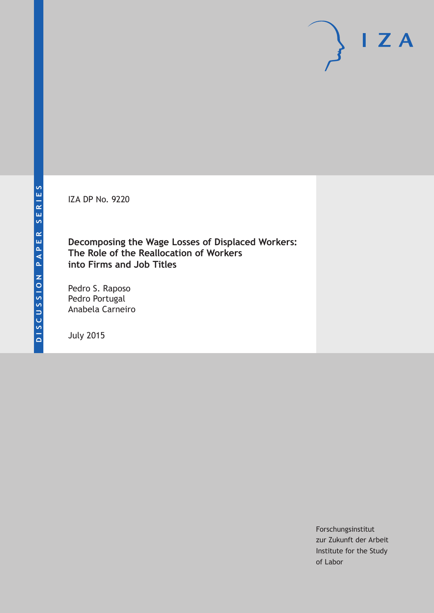IZA DP No. 9220

**Decomposing the Wage Losses of Displaced Workers: The Role of the Reallocation of Workers into Firms and Job Titles**

Pedro S. Raposo Pedro Portugal Anabela Carneiro

July 2015

Forschungsinstitut zur Zukunft der Arbeit Institute for the Study of Labor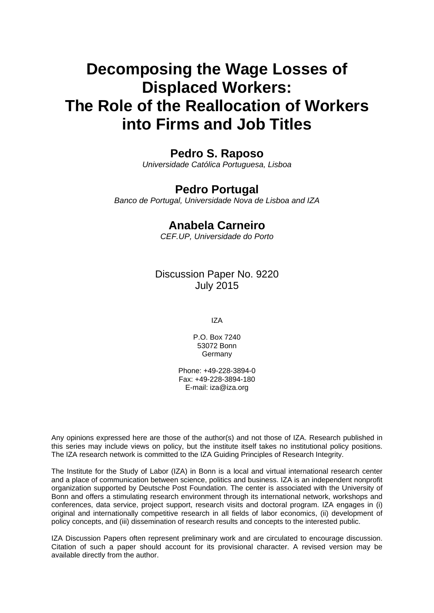# **Decomposing the Wage Losses of Displaced Workers: The Role of the Reallocation of Workers into Firms and Job Titles**

### **Pedro S. Raposo**

*Universidade Católica Portuguesa, Lisboa* 

## **Pedro Portugal**

*Banco de Portugal, Universidade Nova de Lisboa and IZA* 

## **Anabela Carneiro**

*CEF.UP, Universidade do Porto*

### Discussion Paper No. 9220 July 2015

IZA

P.O. Box 7240 53072 Bonn **Germany** 

Phone: +49-228-3894-0 Fax: +49-228-3894-180 E-mail: iza@iza.org

Any opinions expressed here are those of the author(s) and not those of IZA. Research published in this series may include views on policy, but the institute itself takes no institutional policy positions. The IZA research network is committed to the IZA Guiding Principles of Research Integrity.

The Institute for the Study of Labor (IZA) in Bonn is a local and virtual international research center and a place of communication between science, politics and business. IZA is an independent nonprofit organization supported by Deutsche Post Foundation. The center is associated with the University of Bonn and offers a stimulating research environment through its international network, workshops and conferences, data service, project support, research visits and doctoral program. IZA engages in (i) original and internationally competitive research in all fields of labor economics, (ii) development of policy concepts, and (iii) dissemination of research results and concepts to the interested public.

IZA Discussion Papers often represent preliminary work and are circulated to encourage discussion. Citation of such a paper should account for its provisional character. A revised version may be available directly from the author.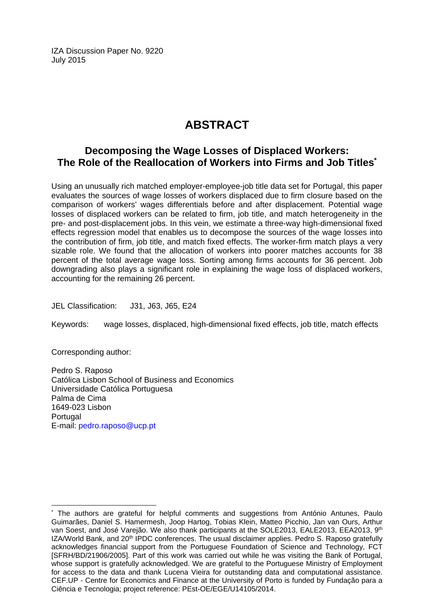IZA Discussion Paper No. 9220 July 2015

## **ABSTRACT**

### **Decomposing the Wage Losses of Displaced Workers: The Role of the Reallocation of Workers into Firms and Job Titles\***

Using an unusually rich matched employer-employee-job title data set for Portugal, this paper evaluates the sources of wage losses of workers displaced due to firm closure based on the comparison of workers' wages differentials before and after displacement. Potential wage losses of displaced workers can be related to firm, job title, and match heterogeneity in the pre- and post-displacement jobs. In this vein, we estimate a three-way high-dimensional fixed effects regression model that enables us to decompose the sources of the wage losses into the contribution of firm, job title, and match fixed effects. The worker-firm match plays a very sizable role. We found that the allocation of workers into poorer matches accounts for 38 percent of the total average wage loss. Sorting among firms accounts for 36 percent. Job downgrading also plays a significant role in explaining the wage loss of displaced workers, accounting for the remaining 26 percent.

JEL Classification: J31, J63, J65, E24

Keywords: wage losses, displaced, high-dimensional fixed effects, job title, match effects

Corresponding author:

 $\overline{a}$ 

Pedro S. Raposo Católica Lisbon School of Business and Economics Universidade Católica Portuguesa Palma de Cima 1649-023 Lisbon **Portugal** E-mail: pedro.raposo@ucp.pt

<sup>\*</sup> The authors are grateful for helpful comments and suggestions from António Antunes, Paulo Guimarães, Daniel S. Hamermesh, Joop Hartog, Tobias Klein, Matteo Picchio, Jan van Ours, Arthur van Soest, and José Varejão. We also thank participants at the SOLE2013, EALE2013, EEA2013, 9<sup>th</sup> IZA/World Bank, and 20<sup>th</sup> IPDC conferences. The usual disclaimer applies. Pedro S. Raposo gratefully acknowledges financial support from the Portuguese Foundation of Science and Technology, FCT [SFRH/BD/21906/2005]. Part of this work was carried out while he was visiting the Bank of Portugal, whose support is gratefully acknowledged. We are grateful to the Portuguese Ministry of Employment for access to the data and thank Lucena Vieira for outstanding data and computational assistance. CEF.UP - Centre for Economics and Finance at the University of Porto is funded by Fundação para a Ciência e Tecnologia; project reference: PEst-OE/EGE/U14105/2014.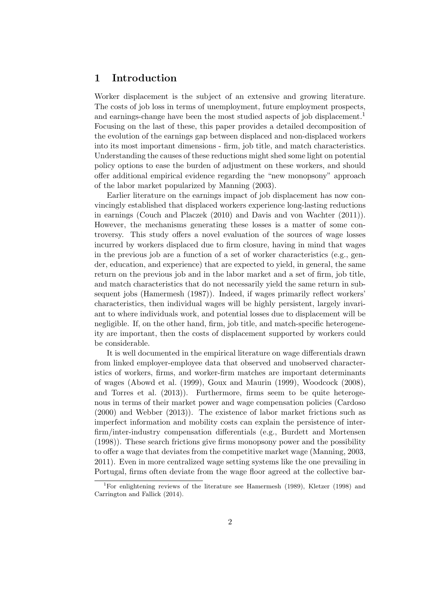#### 1 Introduction

Worker displacement is the subject of an extensive and growing literature. The costs of job loss in terms of unemployment, future employment prospects, and earnings-change have been the most studied aspects of job displacement.<sup>1</sup> Focusing on the last of these, this paper provides a detailed decomposition of the evolution of the earnings gap between displaced and non-displaced workers into its most important dimensions - firm, job title, and match characteristics. Understanding the causes of these reductions might shed some light on potential policy options to ease the burden of adjustment on these workers, and should offer additional empirical evidence regarding the "new monopsony" approach of the labor market popularized by Manning (2003).

Earlier literature on the earnings impact of job displacement has now convincingly established that displaced workers experience long-lasting reductions in earnings (Couch and Placzek (2010) and Davis and von Wachter (2011)). However, the mechanisms generating these losses is a matter of some controversy. This study offers a novel evaluation of the sources of wage losses incurred by workers displaced due to firm closure, having in mind that wages in the previous job are a function of a set of worker characteristics (e.g., gender, education, and experience) that are expected to yield, in general, the same return on the previous job and in the labor market and a set of firm, job title, and match characteristics that do not necessarily yield the same return in subsequent jobs (Hamermesh (1987)). Indeed, if wages primarily reflect workers' characteristics, then individual wages will be highly persistent, largely invariant to where individuals work, and potential losses due to displacement will be negligible. If, on the other hand, firm, job title, and match-specific heterogeneity are important, then the costs of displacement supported by workers could be considerable.

It is well documented in the empirical literature on wage differentials drawn from linked employer-employee data that observed and unobserved characteristics of workers, firms, and worker-firm matches are important determinants of wages (Abowd et al. (1999), Goux and Maurin (1999), Woodcock (2008), and Torres et al. (2013)). Furthermore, firms seem to be quite heterogenous in terms of their market power and wage compensation policies (Cardoso (2000) and Webber (2013)). The existence of labor market frictions such as imperfect information and mobility costs can explain the persistence of interfirm/inter-industry compensation differentials (e.g., Burdett and Mortensen (1998)). These search frictions give firms monopsony power and the possibility to offer a wage that deviates from the competitive market wage (Manning, 2003, 2011). Even in more centralized wage setting systems like the one prevailing in Portugal, firms often deviate from the wage floor agreed at the collective bar-

<sup>&</sup>lt;sup>1</sup>For enlightening reviews of the literature see Hamermesh (1989), Kletzer (1998) and Carrington and Fallick (2014).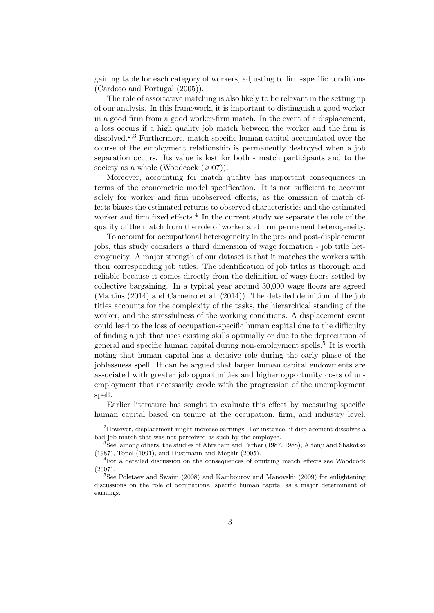gaining table for each category of workers, adjusting to firm-specific conditions (Cardoso and Portugal (2005)).

The role of assortative matching is also likely to be relevant in the setting up of our analysis. In this framework, it is important to distinguish a good worker in a good firm from a good worker-firm match. In the event of a displacement, a loss occurs if a high quality job match between the worker and the firm is dissolved.<sup>2,3</sup> Furthermore, match-specific human capital accumulated over the course of the employment relationship is permanently destroyed when a job separation occurs. Its value is lost for both - match participants and to the society as a whole (Woodcock  $(2007)$ ).

Moreover, accounting for match quality has important consequences in terms of the econometric model specification. It is not sufficient to account solely for worker and firm unobserved effects, as the omission of match effects biases the estimated returns to observed characteristics and the estimated worker and firm fixed effects.<sup>4</sup> In the current study we separate the role of the quality of the match from the role of worker and firm permanent heterogeneity.

To account for occupational heterogeneity in the pre- and post-displacement jobs, this study considers a third dimension of wage formation - job title heterogeneity. A major strength of our dataset is that it matches the workers with their corresponding job titles. The identification of job titles is thorough and reliable because it comes directly from the definition of wage floors settled by collective bargaining. In a typical year around 30,000 wage floors are agreed (Martins (2014) and Carneiro et al. (2014)). The detailed definition of the job titles accounts for the complexity of the tasks, the hierarchical standing of the worker, and the stressfulness of the working conditions. A displacement event could lead to the loss of occupation-specific human capital due to the difficulty of finding a job that uses existing skills optimally or due to the depreciation of general and specific human capital during non-employment spells.<sup>5</sup> It is worth noting that human capital has a decisive role during the early phase of the joblessness spell. It can be argued that larger human capital endowments are associated with greater job opportunities and higher opportunity costs of unemployment that necessarily erode with the progression of the unemployment spell.

Earlier literature has sought to evaluate this effect by measuring specific human capital based on tenure at the occupation, firm, and industry level.

 $2$ However, displacement might increase earnings. For instance, if displacement dissolves a bad job match that was not perceived as such by the employee.

<sup>&</sup>lt;sup>3</sup>See, among others, the studies of Abraham and Farber (1987, 1988), Altonji and Shakotko (1987), Topel (1991), and Dustmann and Meghir (2005).

<sup>4</sup>For a detailed discussion on the consequences of omitting match effects see Woodcock (2007).

<sup>&</sup>lt;sup>5</sup>See Poletaev and Swaim (2008) and Kambourov and Manovskii (2009) for enlightening discussions on the role of occupational specific human capital as a major determinant of earnings.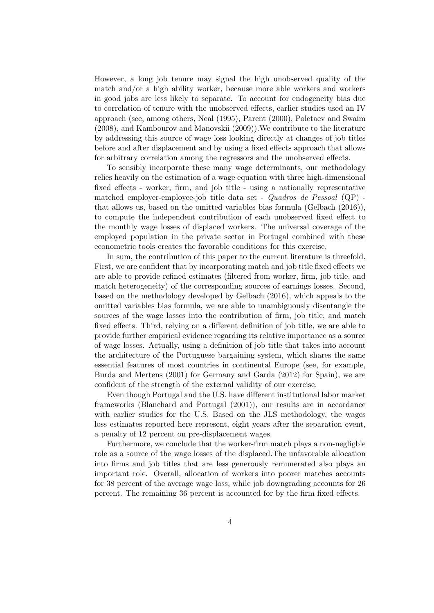However, a long job tenure may signal the high unobserved quality of the match and/or a high ability worker, because more able workers and workers in good jobs are less likely to separate. To account for endogeneity bias due to correlation of tenure with the unobserved effects, earlier studies used an IV approach (see, among others, Neal (1995), Parent (2000), Poletaev and Swaim (2008), and Kambourov and Manovskii (2009)).We contribute to the literature by addressing this source of wage loss looking directly at changes of job titles before and after displacement and by using a fixed effects approach that allows for arbitrary correlation among the regressors and the unobserved effects.

To sensibly incorporate these many wage determinants, our methodology relies heavily on the estimation of a wage equation with three high-dimensional fixed effects - worker, firm, and job title - using a nationally representative matched employer-employee-job title data set - Quadros de Pessoal (QP) that allows us, based on the omitted variables bias formula (Gelbach (2016)), to compute the independent contribution of each unobserved fixed effect to the monthly wage losses of displaced workers. The universal coverage of the employed population in the private sector in Portugal combined with these econometric tools creates the favorable conditions for this exercise.

In sum, the contribution of this paper to the current literature is threefold. First, we are confident that by incorporating match and job title fixed effects we are able to provide refined estimates (filtered from worker, firm, job title, and match heterogeneity) of the corresponding sources of earnings losses. Second, based on the methodology developed by Gelbach (2016), which appeals to the omitted variables bias formula, we are able to unambiguously disentangle the sources of the wage losses into the contribution of firm, job title, and match fixed effects. Third, relying on a different definition of job title, we are able to provide further empirical evidence regarding its relative importance as a source of wage losses. Actually, using a definition of job title that takes into account the architecture of the Portuguese bargaining system, which shares the same essential features of most countries in continental Europe (see, for example, Burda and Mertens (2001) for Germany and Garda (2012) for Spain), we are confident of the strength of the external validity of our exercise.

Even though Portugal and the U.S. have different institutional labor market frameworks (Blanchard and Portugal (2001)), our results are in accordance with earlier studies for the U.S. Based on the JLS methodology, the wages loss estimates reported here represent, eight years after the separation event, a penalty of 12 percent on pre-displacement wages.

Furthermore, we conclude that the worker-firm match plays a non-negligble role as a source of the wage losses of the displaced.The unfavorable allocation into firms and job titles that are less generously remunerated also plays an important role. Overall, allocation of workers into poorer matches accounts for 38 percent of the average wage loss, while job downgrading accounts for 26 percent. The remaining 36 percent is accounted for by the firm fixed effects.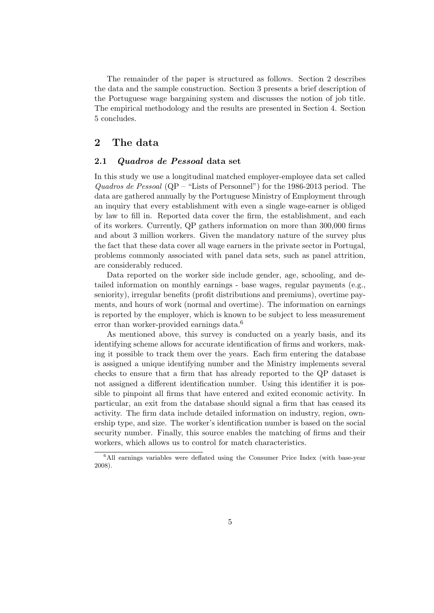The remainder of the paper is structured as follows. Section 2 describes the data and the sample construction. Section 3 presents a brief description of the Portuguese wage bargaining system and discusses the notion of job title. The empirical methodology and the results are presented in Section 4. Section 5 concludes.

#### 2 The data

#### 2.1 Quadros de Pessoal data set

In this study we use a longitudinal matched employer-employee data set called Quadros de Pessoal  $(QP - "Lists of Personnel")$  for the 1986-2013 period. The data are gathered annually by the Portuguese Ministry of Employment through an inquiry that every establishment with even a single wage-earner is obliged by law to fill in. Reported data cover the firm, the establishment, and each of its workers. Currently, QP gathers information on more than 300,000 firms and about 3 million workers. Given the mandatory nature of the survey plus the fact that these data cover all wage earners in the private sector in Portugal, problems commonly associated with panel data sets, such as panel attrition, are considerably reduced.

Data reported on the worker side include gender, age, schooling, and detailed information on monthly earnings - base wages, regular payments (e.g., seniority), irregular benefits (profit distributions and premiums), overtime payments, and hours of work (normal and overtime). The information on earnings is reported by the employer, which is known to be subject to less measurement error than worker-provided earnings data.<sup>6</sup>

As mentioned above, this survey is conducted on a yearly basis, and its identifying scheme allows for accurate identification of firms and workers, making it possible to track them over the years. Each firm entering the database is assigned a unique identifying number and the Ministry implements several checks to ensure that a firm that has already reported to the QP dataset is not assigned a different identification number. Using this identifier it is possible to pinpoint all firms that have entered and exited economic activity. In particular, an exit from the database should signal a firm that has ceased its activity. The firm data include detailed information on industry, region, ownership type, and size. The worker's identification number is based on the social security number. Finally, this source enables the matching of firms and their workers, which allows us to control for match characteristics.

 $6$ All earnings variables were deflated using the Consumer Price Index (with base-year 2008).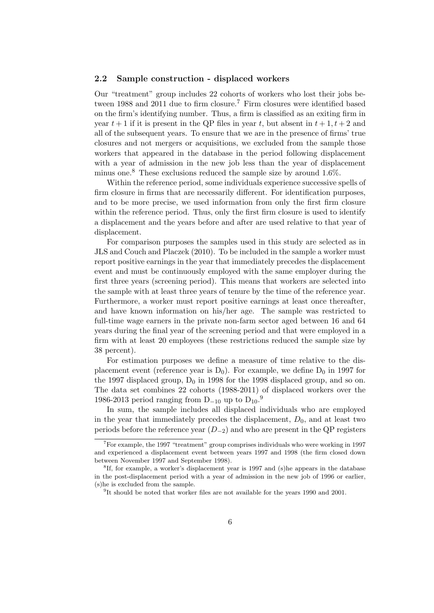#### 2.2 Sample construction - displaced workers

Our "treatment" group includes 22 cohorts of workers who lost their jobs between 1988 and 2011 due to firm closure.<sup>7</sup> Firm closures were identified based on the firm's identifying number. Thus, a firm is classified as an exiting firm in year  $t+1$  if it is present in the QP files in year t, but absent in  $t+1, t+2$  and all of the subsequent years. To ensure that we are in the presence of firms' true closures and not mergers or acquisitions, we excluded from the sample those workers that appeared in the database in the period following displacement with a year of admission in the new job less than the year of displacement minus one.<sup>8</sup> These exclusions reduced the sample size by around  $1.6\%$ .

Within the reference period, some individuals experience successive spells of firm closure in firms that are necessarily different. For identification purposes, and to be more precise, we used information from only the first firm closure within the reference period. Thus, only the first firm closure is used to identify a displacement and the years before and after are used relative to that year of displacement.

For comparison purposes the samples used in this study are selected as in JLS and Couch and Placzek (2010). To be included in the sample a worker must report positive earnings in the year that immediately precedes the displacement event and must be continuously employed with the same employer during the first three years (screening period). This means that workers are selected into the sample with at least three years of tenure by the time of the reference year. Furthermore, a worker must report positive earnings at least once thereafter, and have known information on his/her age. The sample was restricted to full-time wage earners in the private non-farm sector aged between 16 and 64 years during the final year of the screening period and that were employed in a firm with at least 20 employees (these restrictions reduced the sample size by 38 percent).

For estimation purposes we define a measure of time relative to the displacement event (reference year is  $D_0$ ). For example, we define  $D_0$  in 1997 for the 1997 displaced group,  $D_0$  in 1998 for the 1998 displaced group, and so on. The data set combines 22 cohorts (1988-2011) of displaced workers over the 1986-2013 period ranging from  $D_{-10}$  up to  $D_{10}$ .<sup>9</sup>

In sum, the sample includes all displaced individuals who are employed in the year that immediately precedes the displacement,  $D_0$ , and at least two periods before the reference year  $(D_{-2})$  and who are present in the QP registers

 ${}^{7}$ For example, the 1997 "treatment" group comprises individuals who were working in 1997 and experienced a displacement event between years 1997 and 1998 (the firm closed down between November 1997 and September 1998).

<sup>&</sup>lt;sup>8</sup>If, for example, a worker's displacement year is 1997 and (s)he appears in the database in the post-displacement period with a year of admission in the new job of 1996 or earlier, (s)he is excluded from the sample.

<sup>&</sup>lt;sup>9</sup>It should be noted that worker files are not available for the years 1990 and 2001.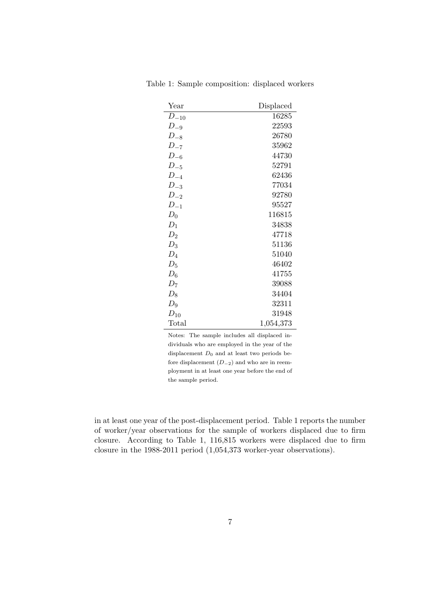| Year      | Displaced |
|-----------|-----------|
| $D_{-10}$ | 16285     |
| $D_{-9}$  | 22593     |
| $D_{-8}$  | 26780     |
| $D_{-7}$  | 35962     |
| $D_{-6}$  | 44730     |
| $D_{-5}$  | 52791     |
| $D_{-4}$  | 62436     |
| $D_{-3}$  | 77034     |
| $D_{-2}$  | 92780     |
| $D_{-1}$  | 95527     |
| $D_0$     | 116815    |
| $D_1$     | 34838     |
| $D_2$     | 47718     |
| $D_3$     | 51136     |
| $D_4$     | 51040     |
| $D_5$     | 46402     |
| $D_6$     | 41755     |
| $D_7$     | 39088     |
| $D_8$     | 34404     |
| $D_9$     | 32311     |
| $D_{10}$  | 31948     |
| Total     | 1,054,373 |

Table 1: Sample composition: displaced workers

Notes: The sample includes all displaced individuals who are employed in the year of the displacement  $D_0$  and at least two periods before displacement  $(D_{-2})$  and who are in reemployment in at least one year before the end of the sample period.

in at least one year of the post-displacement period. Table 1 reports the number of worker/year observations for the sample of workers displaced due to firm closure. According to Table 1, 116,815 workers were displaced due to firm closure in the 1988-2011 period (1,054,373 worker-year observations).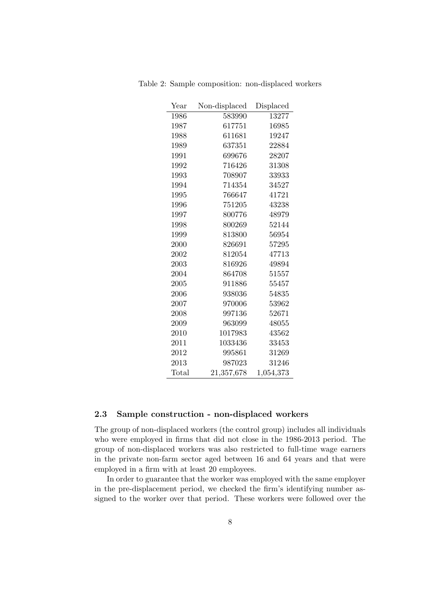| Year  | Non-displaced | Displaced |
|-------|---------------|-----------|
| 1986  | 583990        | 13277     |
| 1987  | 617751        | 16985     |
| 1988  | 611681        | 19247     |
| 1989  | 637351        | 22884     |
| 1991  | 699676        | 28207     |
| 1992  | 716426        | 31308     |
| 1993  | 708907        | 33933     |
| 1994  | 714354        | 34527     |
| 1995  | 766647        | 41721     |
| 1996  | 751205        | 43238     |
| 1997  | 800776        | 48979     |
| 1998  | 800269        | 52144     |
| 1999  | 813800        | 56954     |
| 2000  | 826691        | 57295     |
| 2002  | 812054        | 47713     |
| 2003  | 816926        | 49894     |
| 2004  | 864708        | 51557     |
| 2005  | 911886        | 55457     |
| 2006  | 938036        | 54835     |
| 2007  | 970006        | 53962     |
| 2008  | 997136        | 52671     |
| 2009  | 963099        | 48055     |
| 2010  | 1017983       | 43562     |
| 2011  | 1033436       | 33453     |
| 2012  | 995861        | 31269     |
| 2013  | 987023        | 31246     |
| Total | 21,357,678    | 1,054,373 |

Table 2: Sample composition: non-displaced workers

#### 2.3 Sample construction - non-displaced workers

The group of non-displaced workers (the control group) includes all individuals who were employed in firms that did not close in the 1986-2013 period. The group of non-displaced workers was also restricted to full-time wage earners in the private non-farm sector aged between 16 and 64 years and that were employed in a firm with at least 20 employees.

In order to guarantee that the worker was employed with the same employer in the pre-displacement period, we checked the firm's identifying number assigned to the worker over that period. These workers were followed over the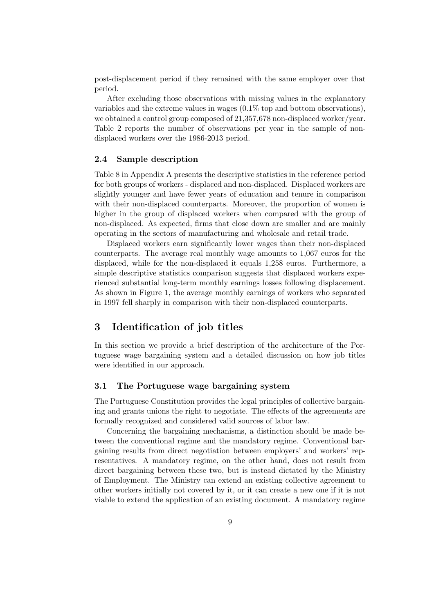post-displacement period if they remained with the same employer over that period.

After excluding those observations with missing values in the explanatory variables and the extreme values in wages (0.1% top and bottom observations), we obtained a control group composed of 21,357,678 non-displaced worker/year. Table 2 reports the number of observations per year in the sample of nondisplaced workers over the 1986-2013 period.

#### 2.4 Sample description

Table 8 in Appendix A presents the descriptive statistics in the reference period for both groups of workers - displaced and non-displaced. Displaced workers are slightly younger and have fewer years of education and tenure in comparison with their non-displaced counterparts. Moreover, the proportion of women is higher in the group of displaced workers when compared with the group of non-displaced. As expected, firms that close down are smaller and are mainly operating in the sectors of manufacturing and wholesale and retail trade.

Displaced workers earn significantly lower wages than their non-displaced counterparts. The average real monthly wage amounts to 1,067 euros for the displaced, while for the non-displaced it equals 1,258 euros. Furthermore, a simple descriptive statistics comparison suggests that displaced workers experienced substantial long-term monthly earnings losses following displacement. As shown in Figure 1, the average monthly earnings of workers who separated in 1997 fell sharply in comparison with their non-displaced counterparts.

#### 3 Identification of job titles

In this section we provide a brief description of the architecture of the Portuguese wage bargaining system and a detailed discussion on how job titles were identified in our approach.

#### 3.1 The Portuguese wage bargaining system

The Portuguese Constitution provides the legal principles of collective bargaining and grants unions the right to negotiate. The effects of the agreements are formally recognized and considered valid sources of labor law.

Concerning the bargaining mechanisms, a distinction should be made between the conventional regime and the mandatory regime. Conventional bargaining results from direct negotiation between employers' and workers' representatives. A mandatory regime, on the other hand, does not result from direct bargaining between these two, but is instead dictated by the Ministry of Employment. The Ministry can extend an existing collective agreement to other workers initially not covered by it, or it can create a new one if it is not viable to extend the application of an existing document. A mandatory regime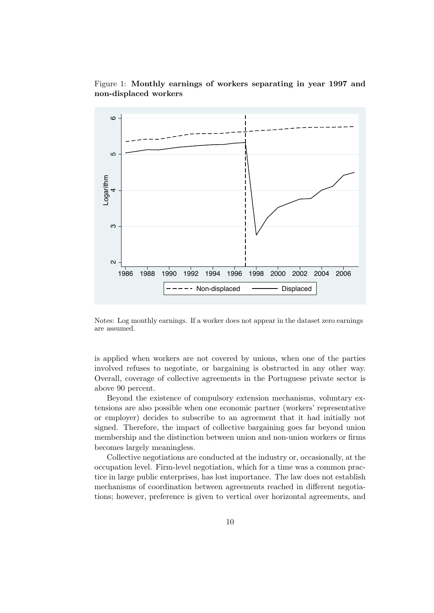



Notes: Log monthly earnings. If a worker does not appear in the dataset zero earnings are assumed.

is applied when workers are not covered by unions, when one of the parties involved refuses to negotiate, or bargaining is obstructed in any other way. Overall, coverage of collective agreements in the Portuguese private sector is above 90 percent.

Beyond the existence of compulsory extension mechanisms, voluntary extensions are also possible when one economic partner (workers' representative or employer) decides to subscribe to an agreement that it had initially not signed. Therefore, the impact of collective bargaining goes far beyond union membership and the distinction between union and non-union workers or firms becomes largely meaningless.

Collective negotiations are conducted at the industry or, occasionally, at the occupation level. Firm-level negotiation, which for a time was a common practice in large public enterprises, has lost importance. The law does not establish mechanisms of coordination between agreements reached in different negotiations; however, preference is given to vertical over horizontal agreements, and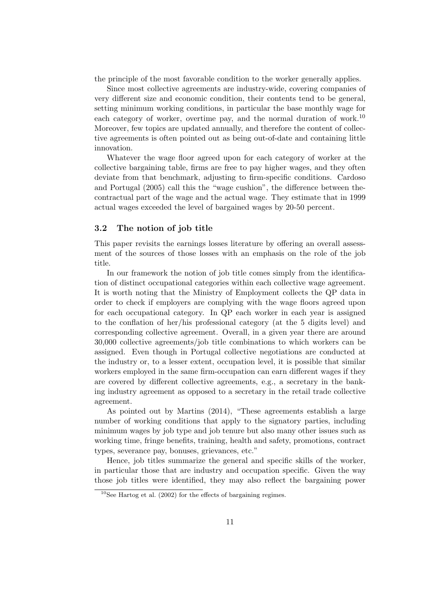the principle of the most favorable condition to the worker generally applies.

Since most collective agreements are industry-wide, covering companies of very different size and economic condition, their contents tend to be general, setting minimum working conditions, in particular the base monthly wage for each category of worker, overtime pay, and the normal duration of work.<sup>10</sup> Moreover, few topics are updated annually, and therefore the content of collective agreements is often pointed out as being out-of-date and containing little innovation.

Whatever the wage floor agreed upon for each category of worker at the collective bargaining table, firms are free to pay higher wages, and they often deviate from that benchmark, adjusting to firm-specific conditions. Cardoso and Portugal (2005) call this the "wage cushion", the difference between thecontractual part of the wage and the actual wage. They estimate that in 1999 actual wages exceeded the level of bargained wages by 20-50 percent.

#### 3.2 The notion of job title

This paper revisits the earnings losses literature by offering an overall assessment of the sources of those losses with an emphasis on the role of the job title.

In our framework the notion of job title comes simply from the identification of distinct occupational categories within each collective wage agreement. It is worth noting that the Ministry of Employment collects the QP data in order to check if employers are complying with the wage floors agreed upon for each occupational category. In QP each worker in each year is assigned to the conflation of her/his professional category (at the 5 digits level) and corresponding collective agreement. Overall, in a given year there are around 30,000 collective agreements/job title combinations to which workers can be assigned. Even though in Portugal collective negotiations are conducted at the industry or, to a lesser extent, occupation level, it is possible that similar workers employed in the same firm-occupation can earn different wages if they are covered by different collective agreements, e.g., a secretary in the banking industry agreement as opposed to a secretary in the retail trade collective agreement.

As pointed out by Martins (2014), "These agreements establish a large number of working conditions that apply to the signatory parties, including minimum wages by job type and job tenure but also many other issues such as working time, fringe benefits, training, health and safety, promotions, contract types, severance pay, bonuses, grievances, etc."

Hence, job titles summarize the general and specific skills of the worker, in particular those that are industry and occupation specific. Given the way those job titles were identified, they may also reflect the bargaining power

 $10$ See Hartog et al. (2002) for the effects of bargaining regimes.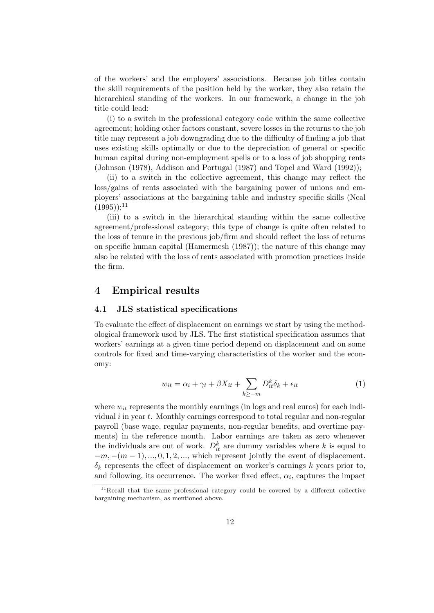of the workers' and the employers' associations. Because job titles contain the skill requirements of the position held by the worker, they also retain the hierarchical standing of the workers. In our framework, a change in the job title could lead:

(i) to a switch in the professional category code within the same collective agreement; holding other factors constant, severe losses in the returns to the job title may represent a job downgrading due to the difficulty of finding a job that uses existing skills optimally or due to the depreciation of general or specific human capital during non-employment spells or to a loss of job shopping rents (Johnson (1978), Addison and Portugal (1987) and Topel and Ward (1992));

(ii) to a switch in the collective agreement, this change may reflect the loss/gains of rents associated with the bargaining power of unions and employers' associations at the bargaining table and industry specific skills (Neal  $(1995))$ ;<sup>11</sup>

(iii) to a switch in the hierarchical standing within the same collective agreement/professional category; this type of change is quite often related to the loss of tenure in the previous job/firm and should reflect the loss of returns on specific human capital (Hamermesh (1987)); the nature of this change may also be related with the loss of rents associated with promotion practices inside the firm.

#### 4 Empirical results

#### 4.1 JLS statistical specifications

To evaluate the effect of displacement on earnings we start by using the methodological framework used by JLS. The first statistical specification assumes that workers' earnings at a given time period depend on displacement and on some controls for fixed and time-varying characteristics of the worker and the economy:

$$
w_{it} = \alpha_i + \gamma_t + \beta X_{it} + \sum_{k \ge -m} D_{it}^k \delta_k + \epsilon_{it}
$$
 (1)

where  $w_{it}$  represents the monthly earnings (in logs and real euros) for each individual  $i$  in year  $t$ . Monthly earnings correspond to total regular and non-regular payroll (base wage, regular payments, non-regular benefits, and overtime payments) in the reference month. Labor earnings are taken as zero whenever the individuals are out of work.  $D_{it}^k$  are dummy variables where k is equal to  $-m, -(m-1), ..., 0, 1, 2, ...,$  which represent jointly the event of displacement.  $\delta_k$  represents the effect of displacement on worker's earnings k years prior to, and following, its occurrence. The worker fixed effect,  $\alpha_i$ , captures the impact

 $11$ Recall that the same professional category could be covered by a different collective bargaining mechanism, as mentioned above.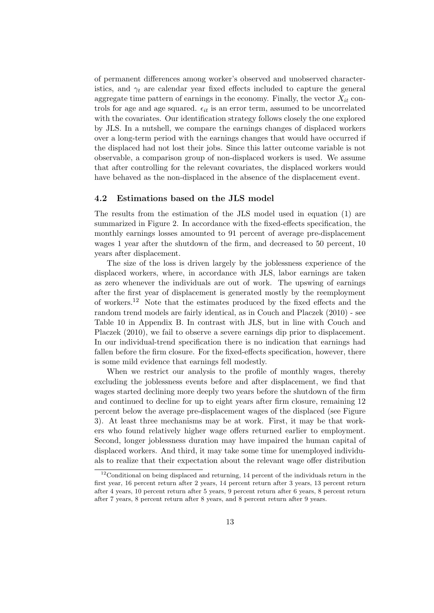of permanent differences among worker's observed and unobserved characteristics, and  $\gamma_t$  are calendar year fixed effects included to capture the general aggregate time pattern of earnings in the economy. Finally, the vector  $X_{it}$  controls for age and age squared.  $\epsilon_{it}$  is an error term, assumed to be uncorrelated with the covariates. Our identification strategy follows closely the one explored by JLS. In a nutshell, we compare the earnings changes of displaced workers over a long-term period with the earnings changes that would have occurred if the displaced had not lost their jobs. Since this latter outcome variable is not observable, a comparison group of non-displaced workers is used. We assume that after controlling for the relevant covariates, the displaced workers would have behaved as the non-displaced in the absence of the displacement event.

#### 4.2 Estimations based on the JLS model

The results from the estimation of the JLS model used in equation (1) are summarized in Figure 2. In accordance with the fixed-effects specification, the monthly earnings losses amounted to 91 percent of average pre-displacement wages 1 year after the shutdown of the firm, and decreased to 50 percent, 10 years after displacement.

The size of the loss is driven largely by the joblessness experience of the displaced workers, where, in accordance with JLS, labor earnings are taken as zero whenever the individuals are out of work. The upswing of earnings after the first year of displacement is generated mostly by the reemployment of workers.<sup>12</sup> Note that the estimates produced by the fixed effects and the random trend models are fairly identical, as in Couch and Placzek (2010) - see Table 10 in Appendix B. In contrast with JLS, but in line with Couch and Placzek (2010), we fail to observe a severe earnings dip prior to displacement. In our individual-trend specification there is no indication that earnings had fallen before the firm closure. For the fixed-effects specification, however, there is some mild evidence that earnings fell modestly.

When we restrict our analysis to the profile of monthly wages, thereby excluding the joblessness events before and after displacement, we find that wages started declining more deeply two years before the shutdown of the firm and continued to decline for up to eight years after firm closure, remaining 12 percent below the average pre-displacement wages of the displaced (see Figure 3). At least three mechanisms may be at work. First, it may be that workers who found relatively higher wage offers returned earlier to employment. Second, longer joblessness duration may have impaired the human capital of displaced workers. And third, it may take some time for unemployed individuals to realize that their expectation about the relevant wage offer distribution

<sup>&</sup>lt;sup>12</sup>Conditional on being displaced and returning, 14 percent of the individuals return in the first year, 16 percent return after 2 years, 14 percent return after 3 years, 13 percent return after 4 years, 10 percent return after 5 years, 9 percent return after 6 years, 8 percent return after 7 years, 8 percent return after 8 years, and 8 percent return after 9 years.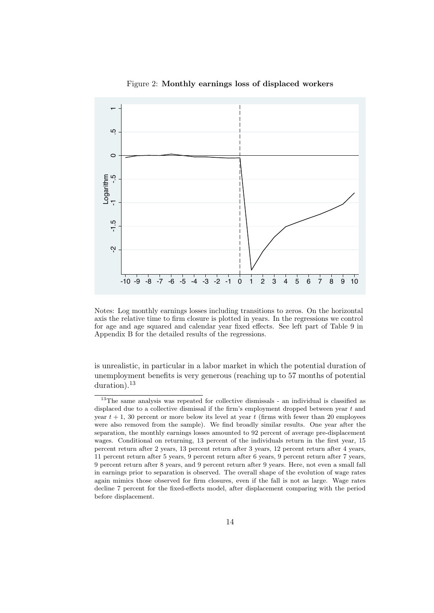

Figure 2: Monthly earnings loss of displaced workers

Notes: Log monthly earnings losses including transitions to zeros. On the horizontal axis the relative time to firm closure is plotted in years. In the regressions we control for age and age squared and calendar year fixed effects. See left part of Table 9 in Appendix B for the detailed results of the regressions.

is unrealistic, in particular in a labor market in which the potential duration of unemployment benefits is very generous (reaching up to 57 months of potential duration).<sup>13</sup>

<sup>13</sup>The same analysis was repeated for collective dismissals - an individual is classified as displaced due to a collective dismissal if the firm's employment dropped between year t and year  $t + 1$ , 30 percent or more below its level at year t (firms with fewer than 20 employees were also removed from the sample). We find broadly similar results. One year after the separation, the monthly earnings losses amounted to 92 percent of average pre-displacement wages. Conditional on returning, 13 percent of the individuals return in the first year, 15 percent return after 2 years, 13 percent return after 3 years, 12 percent return after 4 years, 11 percent return after 5 years, 9 percent return after 6 years, 9 percent return after 7 years, 9 percent return after 8 years, and 9 percent return after 9 years. Here, not even a small fall in earnings prior to separation is observed. The overall shape of the evolution of wage rates again mimics those observed for firm closures, even if the fall is not as large. Wage rates decline 7 percent for the fixed-effects model, after displacement comparing with the period before displacement.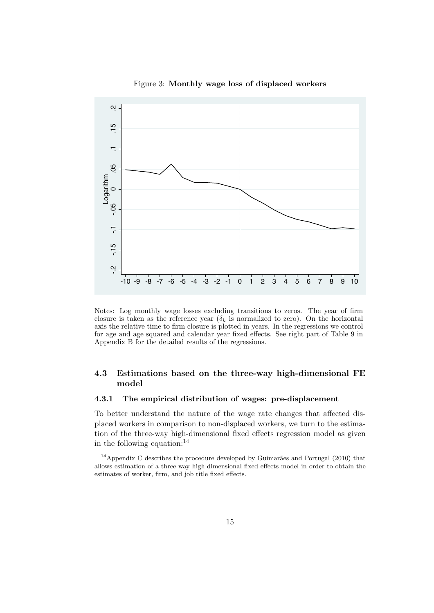

Figure 3: Monthly wage loss of displaced workers

Notes: Log monthly wage losses excluding transitions to zeros. The year of firm closure is taken as the reference year ( $\delta_k$  is normalized to zero). On the horizontal axis the relative time to firm closure is plotted in years. In the regressions we control for age and age squared and calendar year fixed effects. See right part of Table 9 in Appendix B for the detailed results of the regressions.

#### 4.3 Estimations based on the three-way high-dimensional FE model

#### 4.3.1 The empirical distribution of wages: pre-displacement

To better understand the nature of the wage rate changes that affected displaced workers in comparison to non-displaced workers, we turn to the estimation of the three-way high-dimensional fixed effects regression model as given in the following equation:  $14$ 

 $14$ Appendix C describes the procedure developed by Guimarães and Portugal (2010) that allows estimation of a three-way high-dimensional fixed effects model in order to obtain the estimates of worker, firm, and job title fixed effects.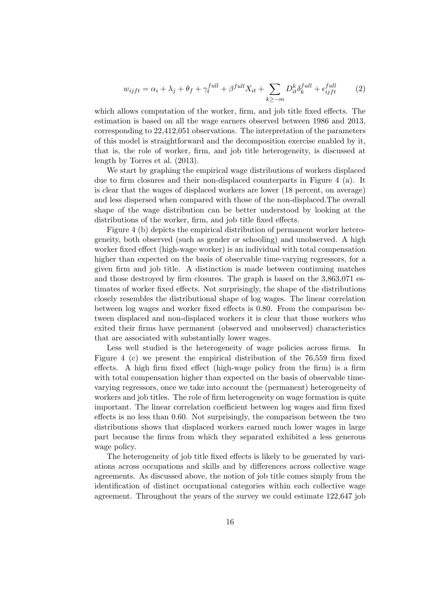$$
w_{ijft} = \alpha_i + \lambda_j + \theta_f + \gamma_t^{full} + \beta^{full} X_{it} + \sum_{k \ge -m} D_{it}^k \delta_k^{full} + \epsilon_{ijft}^{full}
$$
 (2)

which allows computation of the worker, firm, and job title fixed effects. The estimation is based on all the wage earners observed between 1986 and 2013, corresponding to 22,412,051 observations. The interpretation of the parameters of this model is straightforward and the decomposition exercise enabled by it, that is, the role of worker, firm, and job title heterogeneity, is discussed at length by Torres et al. (2013).

We start by graphing the empirical wage distributions of workers displaced due to firm closures and their non-displaced counterparts in Figure 4 (a). It is clear that the wages of displaced workers are lower (18 percent, on average) and less dispersed when compared with those of the non-displaced.The overall shape of the wage distribution can be better understood by looking at the distributions of the worker, firm, and job title fixed effects.

Figure 4 (b) depicts the empirical distribution of permanent worker heterogeneity, both observed (such as gender or schooling) and unobserved. A high worker fixed effect (high-wage worker) is an individual with total compensation higher than expected on the basis of observable time-varying regressors, for a given firm and job title. A distinction is made between continuing matches and those destroyed by firm closures. The graph is based on the 3,863,071 estimates of worker fixed effects. Not surprisingly, the shape of the distributions closely resembles the distributional shape of log wages. The linear correlation between log wages and worker fixed effects is 0.80. From the comparison between displaced and non-displaced workers it is clear that those workers who exited their firms have permanent (observed and unobserved) characteristics that are associated with substantially lower wages.

Less well studied is the heterogeneity of wage policies across firms. In Figure 4 (c) we present the empirical distribution of the 76,559 firm fixed effects. A high firm fixed effect (high-wage policy from the firm) is a firm with total compensation higher than expected on the basis of observable timevarying regressors, once we take into account the (permanent) heterogeneity of workers and job titles. The role of firm heterogeneity on wage formation is quite important. The linear correlation coefficient between log wages and firm fixed effects is no less than 0.60. Not surprisingly, the comparison between the two distributions shows that displaced workers earned much lower wages in large part because the firms from which they separated exhibited a less generous wage policy.

The heterogeneity of job title fixed effects is likely to be generated by variations across occupations and skills and by differences across collective wage agreements. As discussed above, the notion of job title comes simply from the identification of distinct occupational categories within each collective wage agreement. Throughout the years of the survey we could estimate 122,647 job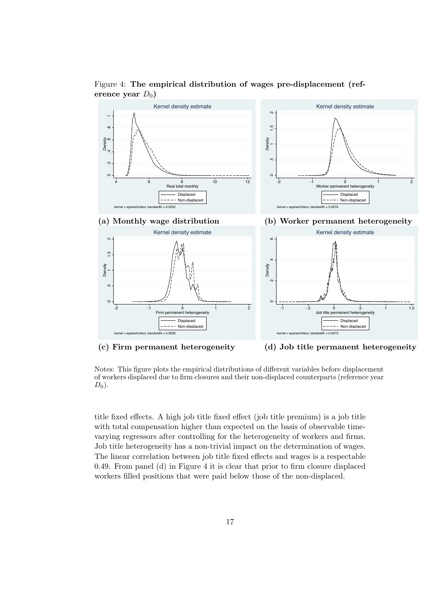

Figure 4: The empirical distribution of wages pre-displacement (reference year  $D_0$ )

(c) Firm permanent heterogeneity (d) Job title permanent heterogeneity

Notes: This figure plots the empirical distributions of different variables before displacement of workers displaced due to firm closures and their non-displaced counterparts (reference year  $D_0$ ).

title fixed effects. A high job title fixed effect (job title premium) is a job title with total compensation higher than expected on the basis of observable timevarying regressors after controlling for the heterogeneity of workers and firms. Job title heterogeneity has a non-trivial impact on the determination of wages. The linear correlation between job title fixed effects and wages is a respectable 0.49. From panel (d) in Figure 4 it is clear that prior to firm closure displaced workers filled positions that were paid below those of the non-displaced.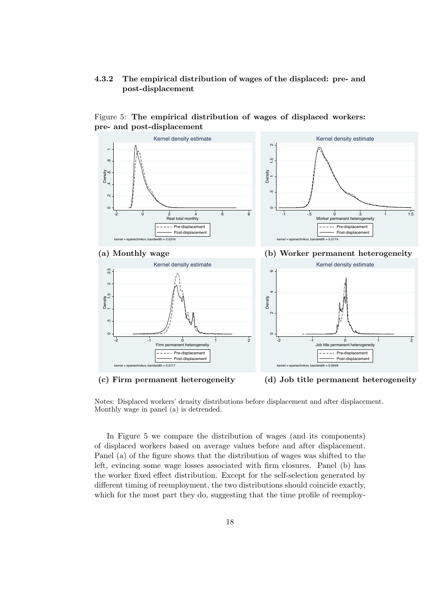#### 4.3.2 The empirical distribution of wages of the displaced: pre- and post-displacement



#### Figure 5: The empirical distribution of wages of displaced workers: pre- and post-displacement

(c) Firm permanent heterogeneity (d) Job title permanent heterogeneity

Notes: Displaced workers' density distributions before displacement and after displacement. Monthly wage in panel (a) is detrended.

In Figure 5 we compare the distribution of wages (and its components) of displaced workers based on average values before and after displacement. Panel (a) of the figure shows that the distribution of wages was shifted to the left, evincing some wage losses associated with firm closures. Panel (b) has the worker fixed effect distribution. Except for the self-selection generated by different timing of reemployment, the two distributions should coincide exactly, which for the most part they do, suggesting that the time profile of reemploy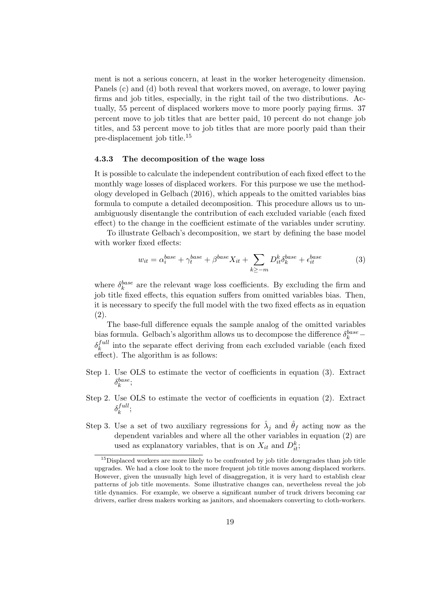ment is not a serious concern, at least in the worker heterogeneity dimension. Panels (c) and (d) both reveal that workers moved, on average, to lower paying firms and job titles, especially, in the right tail of the two distributions. Actually, 55 percent of displaced workers move to more poorly paying firms. 37 percent move to job titles that are better paid, 10 percent do not change job titles, and 53 percent move to job titles that are more poorly paid than their pre-displacement job title.<sup>15</sup>

#### 4.3.3 The decomposition of the wage loss

It is possible to calculate the independent contribution of each fixed effect to the monthly wage losses of displaced workers. For this purpose we use the methodology developed in Gelbach (2016), which appeals to the omitted variables bias formula to compute a detailed decomposition. This procedure allows us to unambiguously disentangle the contribution of each excluded variable (each fixed effect) to the change in the coefficient estimate of the variables under scrutiny.

To illustrate Gelbach's decomposition, we start by defining the base model with worker fixed effects:

$$
w_{it} = \alpha_i^{base} + \gamma_t^{base} + \beta^{base} X_{it} + \sum_{k \ge -m} D_{it}^k \delta_k^{base} + \epsilon_{it}^{base}
$$
 (3)

where  $\delta_k^{base}$  are the relevant wage loss coefficients. By excluding the firm and job title fixed effects, this equation suffers from omitted variables bias. Then, it is necessary to specify the full model with the two fixed effects as in equation (2).

The base-full difference equals the sample analog of the omitted variables bias formula. Gelbach's algorithm allows us to decompose the difference  $\delta_k^{base}$  –  $\delta_k^{full}$  $k_k^{full}$  into the separate effect deriving from each excluded variable (each fixed effect). The algorithm is as follows:

- Step 1. Use OLS to estimate the vector of coefficients in equation (3). Extract  $\delta_k^{base}$ ;
- Step 2. Use OLS to estimate the vector of coefficients in equation (2). Extract  $\delta_k^{full}$  $\frac{1}{k}$   $\frac{1}{k}$
- Step 3. Use a set of two auxiliary regressions for  $\hat{\lambda}_j$  and  $\hat{\theta}_f$  acting now as the dependent variables and where all the other variables in equation (2) are used as explanatory variables, that is on  $X_{it}$  and  $D_{it}^k$ ;

<sup>&</sup>lt;sup>15</sup>Displaced workers are more likely to be confronted by job title downgrades than job title upgrades. We had a close look to the more frequent job title moves among displaced workers. However, given the unusually high level of disaggregation, it is very hard to establish clear patterns of job title movements. Some illustrative changes can, nevertheless reveal the job title dynamics. For example, we observe a significant number of truck drivers becoming car drivers, earlier dress makers working as janitors, and shoemakers converting to cloth-workers.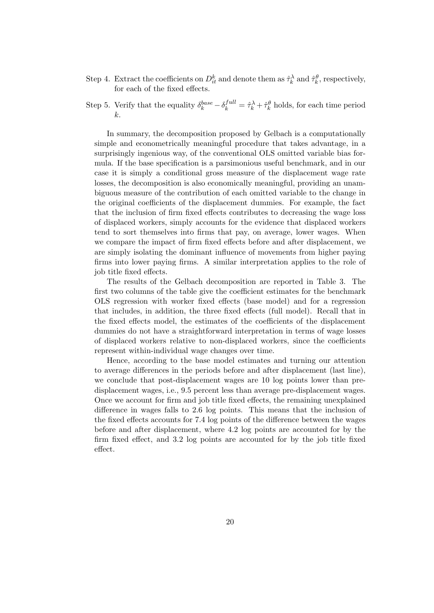Step 4. Extract the coefficients on  $D_{it}^k$  and denote them as  $\hat{\tau}_k^{\lambda}$  and  $\hat{\tau}_k^{\theta}$ , respectively, for each of the fixed effects.

Step 5. Verify that the equality  $\delta_k^{base} - \delta_k^{full} = \hat{\tau}_k^{\lambda} + \hat{\tau}_k^{\theta}$  holds, for each time period k.

In summary, the decomposition proposed by Gelbach is a computationally simple and econometrically meaningful procedure that takes advantage, in a surprisingly ingenious way, of the conventional OLS omitted variable bias formula. If the base specification is a parsimonious useful benchmark, and in our case it is simply a conditional gross measure of the displacement wage rate losses, the decomposition is also economically meaningful, providing an unambiguous measure of the contribution of each omitted variable to the change in the original coefficients of the displacement dummies. For example, the fact that the inclusion of firm fixed effects contributes to decreasing the wage loss of displaced workers, simply accounts for the evidence that displaced workers tend to sort themselves into firms that pay, on average, lower wages. When we compare the impact of firm fixed effects before and after displacement, we are simply isolating the dominant influence of movements from higher paying firms into lower paying firms. A similar interpretation applies to the role of job title fixed effects.

The results of the Gelbach decomposition are reported in Table 3. The first two columns of the table give the coefficient estimates for the benchmark OLS regression with worker fixed effects (base model) and for a regression that includes, in addition, the three fixed effects (full model). Recall that in the fixed effects model, the estimates of the coefficients of the displacement dummies do not have a straightforward interpretation in terms of wage losses of displaced workers relative to non-displaced workers, since the coefficients represent within-individual wage changes over time.

Hence, according to the base model estimates and turning our attention to average differences in the periods before and after displacement (last line), we conclude that post-displacement wages are 10 log points lower than predisplacement wages, i.e., 9.5 percent less than average pre-displacement wages. Once we account for firm and job title fixed effects, the remaining unexplained difference in wages falls to 2.6 log points. This means that the inclusion of the fixed effects accounts for 7.4 log points of the difference between the wages before and after displacement, where 4.2 log points are accounted for by the firm fixed effect, and 3.2 log points are accounted for by the job title fixed effect.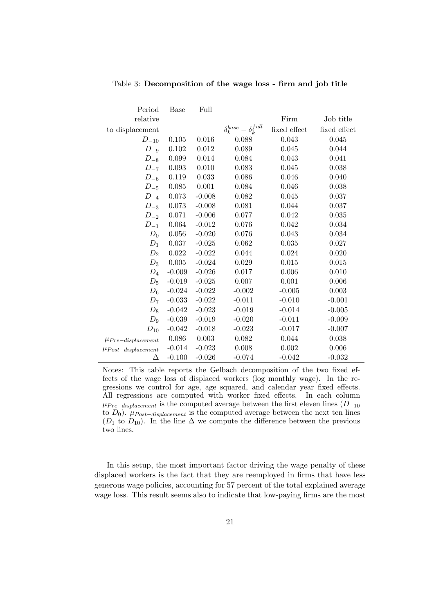| Period                   | Base     | Full     |                                     |              |              |
|--------------------------|----------|----------|-------------------------------------|--------------|--------------|
| relative                 |          |          |                                     | Firm         | Job title    |
| to displacement          |          |          | $\delta_k^{base} - \delta_k^{full}$ | fixed effect | fixed effect |
| $D_{-10}$                | 0.105    | 0.016    | 0.088                               | 0.043        | 0.045        |
| $D_{-9}$                 | 0.102    | 0.012    | 0.089                               | 0.045        | 0.044        |
| $D_{-8}$                 | 0.099    | 0.014    | 0.084                               | 0.043        | 0.041        |
| $D_{-7}$                 | 0.093    | 0.010    | 0.083                               | 0.045        | 0.038        |
| $D_{-6}$                 | 0.119    | 0.033    | 0.086                               | 0.046        | 0.040        |
| $D_{-5}$                 | 0.085    | 0.001    | 0.084                               | 0.046        | 0.038        |
| $D_{-4}$                 | 0.073    | $-0.008$ | 0.082                               | 0.045        | 0.037        |
| $D_{-3}$                 | 0.073    | $-0.008$ | 0.081                               | 0.044        | 0.037        |
| $D_{-2}$                 | 0.071    | $-0.006$ | 0.077                               | 0.042        | 0.035        |
| $D_{-1}$                 | 0.064    | $-0.012$ | 0.076                               | 0.042        | 0.034        |
| $D_0$                    | 0.056    | $-0.020$ | 0.076                               | 0.043        | 0.034        |
| $D_1$                    | 0.037    | $-0.025$ | 0.062                               | 0.035        | 0.027        |
| $D_2$                    | 0.022    | $-0.022$ | 0.044                               | 0.024        | 0.020        |
| $D_3$                    | 0.005    | $-0.024$ | 0.029                               | 0.015        | 0.015        |
| $D_4$                    | $-0.009$ | $-0.026$ | 0.017                               | 0.006        | 0.010        |
| $\mathcal{D}_5$          | $-0.019$ | $-0.025$ | 0.007                               | 0.001        | 0.006        |
| $D_6$                    | $-0.024$ | $-0.022$ | $-0.002$                            | $-0.005$     | 0.003        |
| $D_7$                    | $-0.033$ | $-0.022$ | $-0.011$                            | $-0.010$     | $-0.001$     |
| $D_8$                    | $-0.042$ | $-0.023$ | $-0.019$                            | $-0.014$     | $-0.005$     |
| $D_9$                    | $-0.039$ | $-0.019$ | $-0.020$                            | $-0.011$     | $-0.009$     |
| $D_{10}$                 | $-0.042$ | $-0.018$ | $-0.023$                            | $-0.017$     | $-0.007$     |
| $\mu_{Pre-displacement}$ | 0.086    | 0.003    | 0.082                               | 0.044        | 0.038        |
| $\mu$ Post-displacement  | $-0.014$ | $-0.023$ | 0.008                               | 0.002        | 0.006        |
| Δ                        | $-0.100$ | $-0.026$ | $-0.074$                            | $-0.042$     | $-0.032$     |

Table 3: Decomposition of the wage loss - firm and job title

Notes: This table reports the Gelbach decomposition of the two fixed effects of the wage loss of displaced workers (log monthly wage). In the regressions we control for age, age squared, and calendar year fixed effects. All regressions are computed with worker fixed effects. In each column  $\mu_{Pre-displacement}$  is the computed average between the first eleven lines ( $D_{-10}$ ) to  $D_0$ ).  $\mu_{Post-displacement}$  is the computed average between the next ten lines  $(D_1$  to  $D_{10}$ ). In the line  $\Delta$  we compute the difference between the previous two lines.

In this setup, the most important factor driving the wage penalty of these displaced workers is the fact that they are reemployed in firms that have less generous wage policies, accounting for 57 percent of the total explained average wage loss. This result seems also to indicate that low-paying firms are the most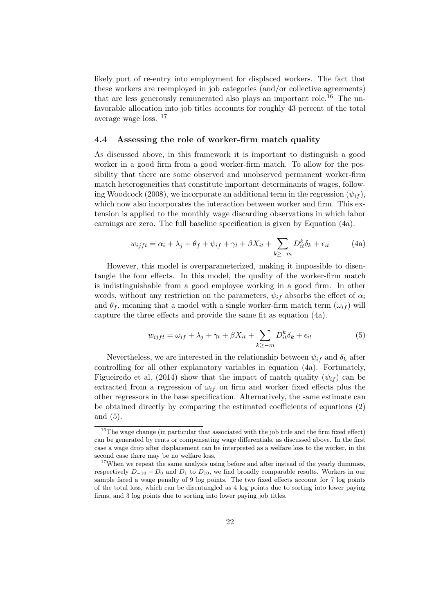likely port of re-entry into employment for displaced workers. The fact that these workers are reemployed in job categories (and/or collective agreements) that are less generously remunerated also plays an important role.<sup>16</sup> The unfavorable allocation into job titles accounts for roughly 43 percent of the total average wage loss. <sup>17</sup>

#### 4.4 Assessing the role of worker-firm match quality

As discussed above, in this framework it is important to distinguish a good worker in a good firm from a good worker-firm match. To allow for the possibility that there are some observed and unobserved permanent worker-firm match heterogeneities that constitute important determinants of wages, following Woodcock (2008), we incorporate an additional term in the regression  $(\psi_{if})$ , which now also incorporates the interaction between worker and firm. This extension is applied to the monthly wage discarding observations in which labor earnings are zero. The full baseline specification is given by Equation (4a).

$$
w_{ijft} = \alpha_i + \lambda_j + \theta_f + \psi_{if} + \gamma_t + \beta X_{it} + \sum_{k \ge -m} D_{it}^k \delta_k + \epsilon_{it}
$$
 (4a)

However, this model is overparameterized, making it impossible to disentangle the four effects. In this model, the quality of the worker-firm match is indistinguishable from a good employee working in a good firm. In other words, without any restriction on the parameters,  $\psi_{if}$  absorbs the effect of  $\alpha_i$ and  $\theta_f$ , meaning that a model with a single worker-firm match term  $(\omega_{if})$  will capture the three effects and provide the same fit as equation (4a).

$$
w_{ijft} = \omega_{if} + \lambda_j + \gamma_t + \beta X_{it} + \sum_{k \ge -m} D_{it}^k \delta_k + \epsilon_{it}
$$
 (5)

Nevertheless, we are interested in the relationship between  $\psi_{if}$  and  $\delta_k$  after controlling for all other explanatory variables in equation (4a). Fortunately, Figueiredo et al. (2014) show that the impact of match quality  $(\psi_{if})$  can be extracted from a regression of  $\omega_{if}$  on firm and worker fixed effects plus the other regressors in the base specification. Alternatively, the same estimate can be obtained directly by comparing the estimated coefficients of equations (2) and (5).

<sup>&</sup>lt;sup>16</sup>The wage change (in particular that associated with the job title and the firm fixed effect) can be generated by rents or compensating wage differentials, as discussed above. In the first case a wage drop after displacement can be interpreted as a welfare loss to the worker, in the second case there may be no welfare loss.

<sup>&</sup>lt;sup>17</sup>When we repeat the same analysis using before and after instead of the yearly dummies, respectively  $D_{-10} - D_0$  and  $D_1$  to  $D_{10}$ , we find broadly comparable results. Workers in our sample faced a wage penalty of 9 log points. The two fixed effects account for 7 log points of the total loss, which can be disentangled as 4 log points due to sorting into lower paying firms, and 3 log points due to sorting into lower paying job titles.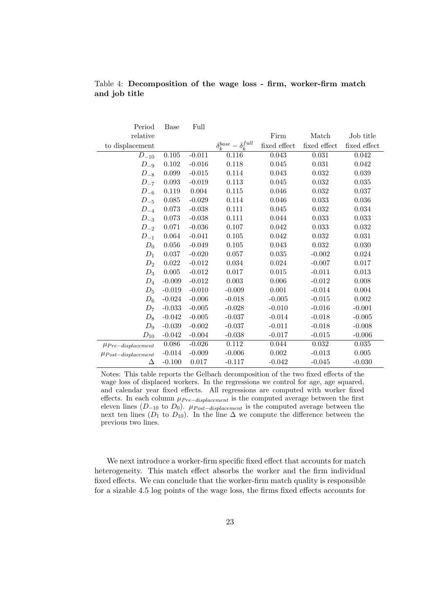| Period                   | <b>Base</b> | Full     |                                     |              |              |              |
|--------------------------|-------------|----------|-------------------------------------|--------------|--------------|--------------|
| relative                 |             |          |                                     | Firm         | Match        | Job title    |
| to displacement          |             |          | $\delta_k^{base} - \delta_k^{full}$ | fixed effect | fixed effect | fixed effect |
| $D_{-10}$                | 0.105       | $-0.011$ | 0.116                               | 0.043        | $\,0.031\,$  | 0.042        |
| $D_{-9}$                 | 0.102       | $-0.016$ | 0.118                               | 0.045        | 0.031        | 0.042        |
| $D_{-8}$                 | 0.099       | $-0.015$ | 0.114                               | 0.043        | 0.032        | 0.039        |
| $D_{-7}$                 | 0.093       | $-0.019$ | 0.113                               | 0.045        | 0.032        | 0.035        |
| $D_{-6}$                 | 0.119       | 0.004    | 0.115                               | 0.046        | 0.032        | 0.037        |
| $D_{-5}$                 | 0.085       | $-0.029$ | 0.114                               | 0.046        | 0.033        | 0.036        |
| $D_{-4}$                 | 0.073       | $-0.038$ | 0.111                               | 0.045        | 0.032        | 0.034        |
| $D_{-3}$                 | 0.073       | $-0.038$ | 0.111                               | 0.044        | 0.033        | 0.033        |
| $D_{-2}$                 | 0.071       | $-0.036$ | 0.107                               | 0.042        | 0.033        | 0.032        |
| $D_{-1}$                 | 0.064       | $-0.041$ | 0.105                               | 0.042        | 0.032        | 0.031        |
| $D_0$                    | 0.056       | $-0.049$ | 0.105                               | 0.043        | 0.032        | 0.030        |
| $D_1$                    | 0.037       | $-0.020$ | 0.057                               | 0.035        | $-0.002$     | 0.024        |
| $D_2$                    | 0.022       | $-0.012$ | 0.034                               | 0.024        | $-0.007$     | 0.017        |
| $D_3$                    | 0.005       | $-0.012$ | 0.017                               | 0.015        | $-0.011$     | 0.013        |
| $D_4$                    | $-0.009$    | $-0.012$ | 0.003                               | 0.006        | $-0.012$     | 0.008        |
| $D_5$                    | $-0.019$    | $-0.010$ | $-0.009$                            | 0.001        | $-0.014$     | 0.004        |
| $D_6$                    | $-0.024$    | $-0.006$ | $-0.018$                            | $-0.005$     | $-0.015$     | 0.002        |
| $D_7$                    | $-0.033$    | $-0.005$ | $-0.028$                            | $-0.010$     | $-0.016$     | $-0.001$     |
| $D_8$                    | $-0.042$    | $-0.005$ | $-0.037$                            | $-0.014$     | $-0.018$     | $-0.005$     |
| $D_9$                    | $-0.039$    | $-0.002$ | $-0.037$                            | $-0.011$     | $-0.018$     | $-0.008$     |
| ${\cal D}_{10}$          | $-0.042$    | $-0.004$ | $-0.038$                            | $-0.017$     | $-0.015$     | $-0.006$     |
| $\mu_{Pre-displacement}$ | 0.086       | $-0.026$ | 0.112                               | 0.044        | $0.032\,$    | 0.035        |
| $\mu$ Post-displacement  | $-0.014$    | $-0.009$ | $-0.006$                            | 0.002        | $-0.013$     | 0.005        |
| Δ                        | $-0.100$    | 0.017    | $-0.117$                            | $-0.042$     | $-0.045$     | $-0.030$     |

Table 4: Decomposition of the wage loss - firm, worker-firm match and job title

Notes: This table reports the Gelbach decomposition of the two fixed effects of the wage loss of displaced workers. In the regressions we control for age, age squared, and calendar year fixed effects. All regressions are computed with worker fixed effects. In each column  $\mu_{Pre-displacement}$  is the computed average between the first eleven lines ( $D_{-10}$  to  $D_0$ ).  $\mu_{Post-displacement}$  is the computed average between the next ten lines ( $D_1$  to  $D_{10}$ ). In the line  $\Delta$  we compute the difference between the previous two lines.

We next introduce a worker-firm specific fixed effect that accounts for match heterogeneity. This match effect absorbs the worker and the firm individual fixed effects. We can conclude that the worker-firm match quality is responsible for a sizable 4.5 log points of the wage loss, the firms fixed effects accounts for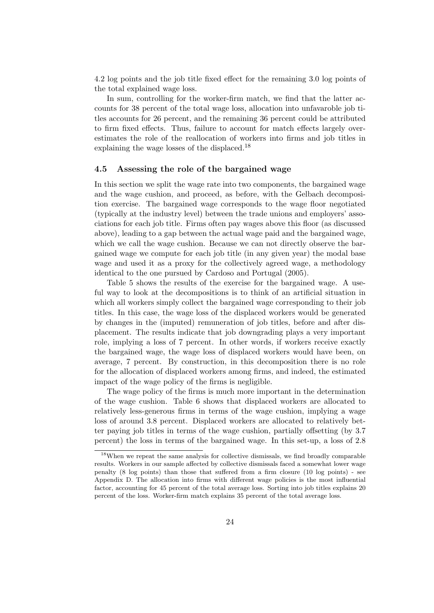4.2 log points and the job title fixed effect for the remaining 3.0 log points of the total explained wage loss.

In sum, controlling for the worker-firm match, we find that the latter accounts for 38 percent of the total wage loss, allocation into unfavaroble job titles accounts for 26 percent, and the remaining 36 percent could be attributed to firm fixed effects. Thus, failure to account for match effects largely overestimates the role of the reallocation of workers into firms and job titles in explaining the wage losses of the displaced.<sup>18</sup>

#### 4.5 Assessing the role of the bargained wage

In this section we split the wage rate into two components, the bargained wage and the wage cushion, and proceed, as before, with the Gelbach decomposition exercise. The bargained wage corresponds to the wage floor negotiated (typically at the industry level) between the trade unions and employers' associations for each job title. Firms often pay wages above this floor (as discussed above), leading to a gap between the actual wage paid and the bargained wage, which we call the wage cushion. Because we can not directly observe the bargained wage we compute for each job title (in any given year) the modal base wage and used it as a proxy for the collectively agreed wage, a methodology identical to the one pursued by Cardoso and Portugal (2005).

Table 5 shows the results of the exercise for the bargained wage. A useful way to look at the decompositions is to think of an artificial situation in which all workers simply collect the bargained wage corresponding to their job titles. In this case, the wage loss of the displaced workers would be generated by changes in the (imputed) remuneration of job titles, before and after displacement. The results indicate that job downgrading plays a very important role, implying a loss of 7 percent. In other words, if workers receive exactly the bargained wage, the wage loss of displaced workers would have been, on average, 7 percent. By construction, in this decomposition there is no role for the allocation of displaced workers among firms, and indeed, the estimated impact of the wage policy of the firms is negligible.

The wage policy of the firms is much more important in the determination of the wage cushion. Table 6 shows that displaced workers are allocated to relatively less-generous firms in terms of the wage cushion, implying a wage loss of around 3.8 percent. Displaced workers are allocated to relatively better paying job titles in terms of the wage cushion, partially offsetting (by 3.7 percent) the loss in terms of the bargained wage. In this set-up, a loss of 2.8

<sup>18</sup>When we repeat the same analysis for collective dismissals, we find broadly comparable results. Workers in our sample affected by collective dismissals faced a somewhat lower wage penalty (8 log points) than those that suffered from a firm closure (10 log points) - see Appendix D. The allocation into firms with different wage policies is the most influential factor, accounting for 45 percent of the total average loss. Sorting into job titles explains 20 percent of the loss. Worker-firm match explains 35 percent of the total average loss.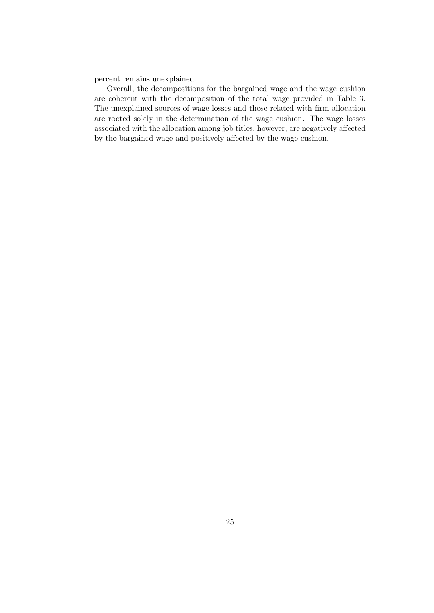percent remains unexplained.

Overall, the decompositions for the bargained wage and the wage cushion are coherent with the decomposition of the total wage provided in Table 3. The unexplained sources of wage losses and those related with firm allocation are rooted solely in the determination of the wage cushion. The wage losses associated with the allocation among job titles, however, are negatively affected by the bargained wage and positively affected by the wage cushion.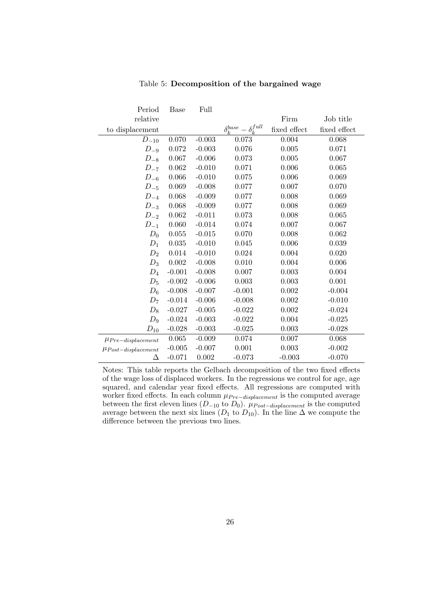| Period                   | <b>Base</b> | Full     |                                     |              |              |
|--------------------------|-------------|----------|-------------------------------------|--------------|--------------|
| relative                 |             |          |                                     | Firm         | Job title    |
| to displacement          |             |          | $\delta_k^{base} - \delta_k^{full}$ | fixed effect | fixed effect |
| $D_{-10}$                | 0.070       | $-0.003$ | 0.073                               | 0.004        | 0.068        |
| $D_{-9}$                 | 0.072       | $-0.003$ | 0.076                               | 0.005        | 0.071        |
| $D_{-8}$                 | 0.067       | $-0.006$ | 0.073                               | 0.005        | 0.067        |
| $D_{-7}$                 | 0.062       | $-0.010$ | 0.071                               | 0.006        | 0.065        |
| $D_{-6}$                 | 0.066       | $-0.010$ | 0.075                               | 0.006        | 0.069        |
| $D_{-5}$                 | 0.069       | $-0.008$ | 0.077                               | 0.007        | 0.070        |
| $D_{-4}$                 | 0.068       | $-0.009$ | 0.077                               | 0.008        | 0.069        |
| $D_{-3}$                 | 0.068       | $-0.009$ | 0.077                               | 0.008        | 0.069        |
| $D_{-2}$                 | 0.062       | $-0.011$ | 0.073                               | 0.008        | 0.065        |
| $D_{-1}$                 | 0.060       | $-0.014$ | 0.074                               | 0.007        | 0.067        |
| $D_0$                    | 0.055       | $-0.015$ | 0.070                               | 0.008        | 0.062        |
| $D_1$                    | 0.035       | $-0.010$ | 0.045                               | 0.006        | 0.039        |
| $D_2$                    | 0.014       | $-0.010$ | 0.024                               | 0.004        | 0.020        |
| $D_3$                    | 0.002       | $-0.008$ | 0.010                               | 0.004        | 0.006        |
| $D_4$                    | $-0.001$    | $-0.008$ | 0.007                               | 0.003        | 0.004        |
| $D_5$                    | $-0.002$    | $-0.006$ | 0.003                               | 0.003        | 0.001        |
| $D_6$                    | $-0.008$    | $-0.007$ | $-0.001$                            | 0.002        | $-0.004$     |
| $D_7$                    | $-0.014$    | $-0.006$ | $-0.008$                            | 0.002        | $-0.010$     |
| $D_8$                    | $-0.027$    | $-0.005$ | $-0.022$                            | 0.002        | $-0.024$     |
| $\mathcal{D}_9$          | $-0.024$    | $-0.003$ | $-0.022$                            | 0.004        | $-0.025$     |
| ${\cal D}_{10}$          | $-0.028$    | $-0.003$ | $-0.025$                            | 0.003        | $-0.028$     |
| $\mu_{Pre-displacement}$ | 0.065       | $-0.009$ | 0.074                               | 0.007        | 0.068        |
| $\mu$ Post-displacement  | $-0.005$    | $-0.007$ | 0.001                               | 0.003        | $-0.002$     |
| Δ                        | $-0.071$    | 0.002    | $-0.073$                            | $-0.003$     | $-0.070$     |

Table 5: Decomposition of the bargained wage

Notes: This table reports the Gelbach decomposition of the two fixed effects of the wage loss of displaced workers. In the regressions we control for age, age squared, and calendar year fixed effects. All regressions are computed with worker fixed effects. In each column  $\mu_{Pre-displacement}$  is the computed average between the first eleven lines ( $D_{-10}$  to  $D_0$ ).  $\mu_{Post-displacement}$  is the computed average between the next six lines ( $D_1$  to  $D_{10}$ ). In the line  $\Delta$  we compute the difference between the previous two lines.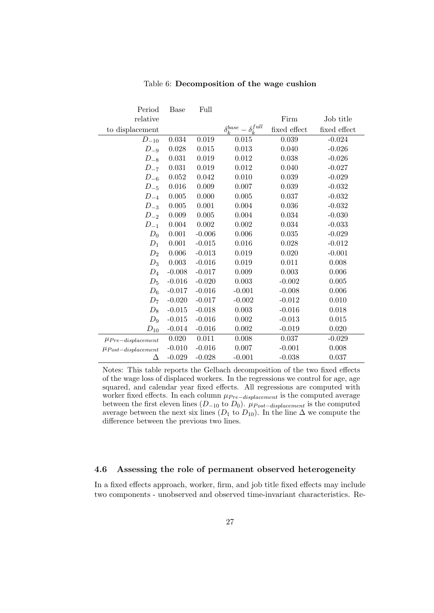| Period                   | Base     | Full      |                                     |              |              |
|--------------------------|----------|-----------|-------------------------------------|--------------|--------------|
| relative                 |          |           |                                     | Firm         | Job title    |
| to displacement          |          |           | $\delta_k^{base} - \delta_k^{full}$ | fixed effect | fixed effect |
| $D_{-10}$                | 0.034    | 0.019     | 0.015                               | 0.039        | $-0.024$     |
| $D_{-9}$                 | 0.028    | 0.015     | 0.013                               | 0.040        | $-0.026$     |
| $D_{-8}$                 | 0.031    | 0.019     | 0.012                               | 0.038        | $-0.026$     |
| $D_{-7}$                 | 0.031    | 0.019     | $0.012\,$                           | 0.040        | $-0.027$     |
| $D_{-6}$                 | 0.052    | 0.042     | 0.010                               | 0.039        | $-0.029$     |
| $D_{-5}$                 | 0.016    | 0.009     | 0.007                               | 0.039        | $-0.032$     |
| $D_{-4}$                 | 0.005    | 0.000     | 0.005                               | 0.037        | $-0.032$     |
| $D_{-3}$                 | 0.005    | 0.001     | 0.004                               | 0.036        | $-0.032$     |
| $D_{-2}$                 | 0.009    | 0.005     | 0.004                               | 0.034        | $-0.030$     |
| $D_{-1}$                 | 0.004    | $0.002\,$ | 0.002                               | 0.034        | $-0.033$     |
| $D_0$                    | 0.001    | $-0.006$  | 0.006                               | 0.035        | $-0.029$     |
| $D_1$                    | 0.001    | $-0.015$  | 0.016                               | 0.028        | $-0.012$     |
| $D_2$                    | 0.006    | $-0.013$  | 0.019                               | 0.020        | $-0.001$     |
| $D_3$                    | 0.003    | $-0.016$  | 0.019                               | 0.011        | 0.008        |
| $D_4$                    | $-0.008$ | $-0.017$  | 0.009                               | 0.003        | 0.006        |
| $D_5$                    | $-0.016$ | $-0.020$  | 0.003                               | $-0.002$     | 0.005        |
| $D_6$                    | $-0.017$ | $-0.016$  | $-0.001$                            | $-0.008$     | 0.006        |
| $D_7$                    | $-0.020$ | $-0.017$  | $-0.002$                            | $-0.012$     | 0.010        |
| $D_8$                    | $-0.015$ | $-0.018$  | 0.003                               | $-0.016$     | 0.018        |
| $D_9$                    | $-0.015$ | $-0.016$  | 0.002                               | $-0.013$     | 0.015        |
| $D_{10}$                 | $-0.014$ | $-0.016$  | 0.002                               | $-0.019$     | 0.020        |
| $\mu_{Pre-displacement}$ | 0.020    | 0.011     | 0.008                               | 0.037        | $-0.029$     |
| $\mu$ Post-displacement  | $-0.010$ | $-0.016$  | 0.007                               | $-0.001$     | 0.008        |
| Δ                        | $-0.029$ | $-0.028$  | $-0.001$                            | $-0.038$     | 0.037        |

#### Table 6: Decomposition of the wage cushion

Notes: This table reports the Gelbach decomposition of the two fixed effects of the wage loss of displaced workers. In the regressions we control for age, age squared, and calendar year fixed effects. All regressions are computed with worker fixed effects. In each column  $\mu_{Pre-displacement}$  is the computed average between the first eleven lines ( $D_{-10}$  to  $D_0$ ).  $\mu_{Post-displacement}$  is the computed average between the next six lines ( $D_1$  to  $D_{10}$ ). In the line  $\Delta$  we compute the difference between the previous two lines.

#### 4.6 Assessing the role of permanent observed heterogeneity

In a fixed effects approach, worker, firm, and job title fixed effects may include two components - unobserved and observed time-invariant characteristics. Re-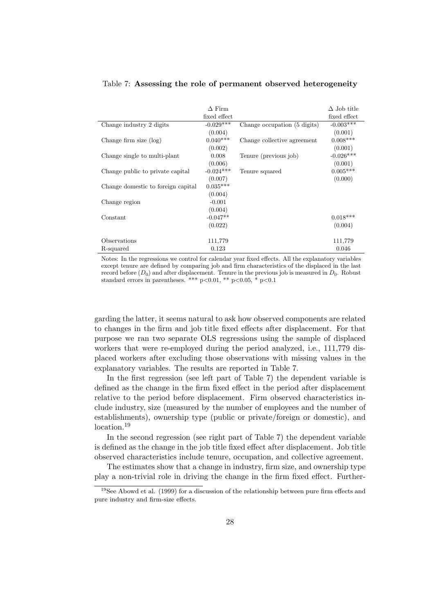|                                    | $\Delta$ Firm<br>fixed effect |                              | $\Delta$ Job title<br>fixed effect |
|------------------------------------|-------------------------------|------------------------------|------------------------------------|
| Change industry 2 digits           | $-0.029***$                   | Change occupation (5 digits) | $-0.003***$                        |
|                                    | (0.004)                       |                              | (0.001)                            |
| Change firm size $(\log)$          | $0.040***$                    | Change collective agreement  | $0.008***$                         |
|                                    | (0.002)                       |                              | (0.001)                            |
| Change single to multi-plant       | 0.008                         | Tenure (previous job)        | $-0.026***$                        |
|                                    | (0.006)                       |                              | (0.001)                            |
| Change public to private capital   | $-0.024***$                   | Tenure squared               | $0.005***$                         |
|                                    | (0.007)                       |                              | (0.000)                            |
| Change domestic to foreign capital | $0.035***$                    |                              |                                    |
|                                    | (0.004)                       |                              |                                    |
| Change region                      | $-0.001$                      |                              |                                    |
|                                    | (0.004)                       |                              |                                    |
| Constant                           | $-0.047**$                    |                              | $0.018***$                         |
|                                    | (0.022)                       |                              | (0.004)                            |
|                                    |                               |                              |                                    |
| Observations                       | 111,779                       |                              | 111,779                            |
| R-squared                          | 0.123                         |                              | 0.046                              |

#### Table 7: Assessing the role of permanent observed heterogeneity

Notes: In the regressions we control for calendar year fixed effects. All the explanatory variables except tenure are defined by comparing job and firm characteristics of the displaced in the last record before  $(D_0)$  and after displacement. Tenure in the previous job is measured in  $D_0$ . Robust standard errors in parentheses. \*\*\* p<0.01, \*\* p<0.05, \* p<0.1

garding the latter, it seems natural to ask how observed components are related to changes in the firm and job title fixed effects after displacement. For that purpose we ran two separate OLS regressions using the sample of displaced workers that were re-employed during the period analyzed, i.e., 111,779 displaced workers after excluding those observations with missing values in the explanatory variables. The results are reported in Table 7.

In the first regression (see left part of Table 7) the dependent variable is defined as the change in the firm fixed effect in the period after displacement relative to the period before displacement. Firm observed characteristics include industry, size (measured by the number of employees and the number of establishments), ownership type (public or private/foreign or domestic), and location.<sup>19</sup>

In the second regression (see right part of Table 7) the dependent variable is defined as the change in the job title fixed effect after displacement. Job title observed characteristics include tenure, occupation, and collective agreement.

The estimates show that a change in industry, firm size, and ownership type play a non-trivial role in driving the change in the firm fixed effect. Further-

 $19$ See Abowd et al. (1999) for a discussion of the relationship between pure firm effects and pure industry and firm-size effects.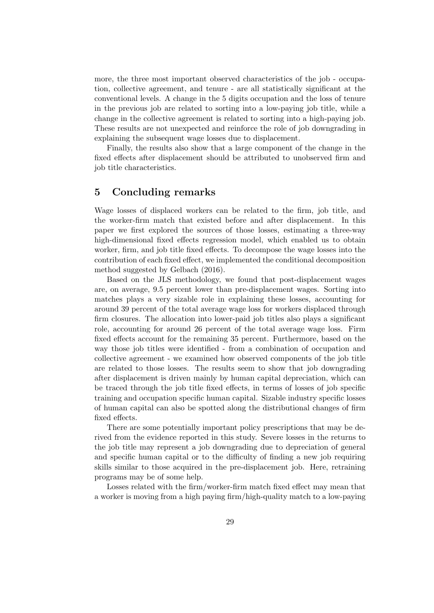more, the three most important observed characteristics of the job - occupation, collective agreement, and tenure - are all statistically significant at the conventional levels. A change in the 5 digits occupation and the loss of tenure in the previous job are related to sorting into a low-paying job title, while a change in the collective agreement is related to sorting into a high-paying job. These results are not unexpected and reinforce the role of job downgrading in explaining the subsequent wage losses due to displacement.

Finally, the results also show that a large component of the change in the fixed effects after displacement should be attributed to unobserved firm and job title characteristics.

#### 5 Concluding remarks

Wage losses of displaced workers can be related to the firm, job title, and the worker-firm match that existed before and after displacement. In this paper we first explored the sources of those losses, estimating a three-way high-dimensional fixed effects regression model, which enabled us to obtain worker, firm, and job title fixed effects. To decompose the wage losses into the contribution of each fixed effect, we implemented the conditional decomposition method suggested by Gelbach (2016).

Based on the JLS methodology, we found that post-displacement wages are, on average, 9.5 percent lower than pre-displacement wages. Sorting into matches plays a very sizable role in explaining these losses, accounting for around 39 percent of the total average wage loss for workers displaced through firm closures. The allocation into lower-paid job titles also plays a significant role, accounting for around 26 percent of the total average wage loss. Firm fixed effects account for the remaining 35 percent. Furthermore, based on the way those job titles were identified - from a combination of occupation and collective agreement - we examined how observed components of the job title are related to those losses. The results seem to show that job downgrading after displacement is driven mainly by human capital depreciation, which can be traced through the job title fixed effects, in terms of losses of job specific training and occupation specific human capital. Sizable industry specific losses of human capital can also be spotted along the distributional changes of firm fixed effects.

There are some potentially important policy prescriptions that may be derived from the evidence reported in this study. Severe losses in the returns to the job title may represent a job downgrading due to depreciation of general and specific human capital or to the difficulty of finding a new job requiring skills similar to those acquired in the pre-displacement job. Here, retraining programs may be of some help.

Losses related with the firm/worker-firm match fixed effect may mean that a worker is moving from a high paying firm/high-quality match to a low-paying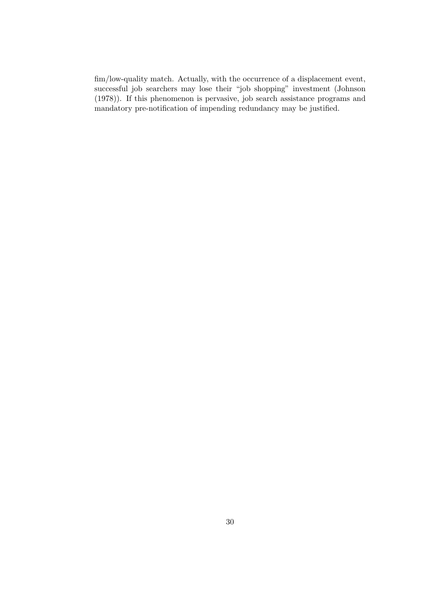fim/low-quality match. Actually, with the occurrence of a displacement event, successful job searchers may lose their "job shopping" investment (Johnson (1978)). If this phenomenon is pervasive, job search assistance programs and mandatory pre-notification of impending redundancy may be justified.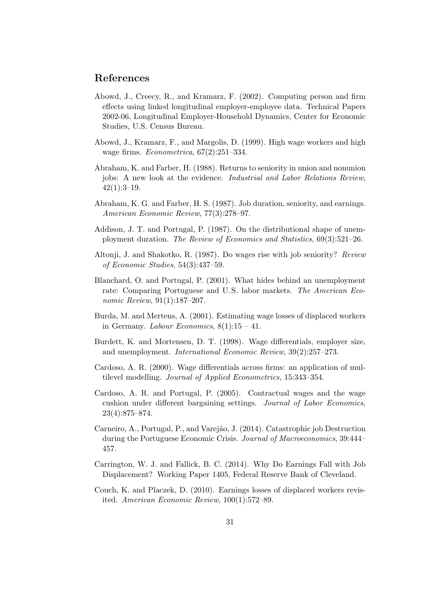#### References

- Abowd, J., Creecy, R., and Kramarz, F. (2002). Computing person and firm effects using linked longitudinal employer-employee data. Technical Papers 2002-06, Longitudinal Employer-Household Dynamics, Center for Economic Studies, U.S. Census Bureau.
- Abowd, J., Kramarz, F., and Margolis, D. (1999). High wage workers and high wage firms. Econometrica, 67(2):251–334.
- Abraham, K. and Farber, H. (1988). Returns to seniority in union and nonunion jobs: A new look at the evidence. Industrial and Labor Relations Review,  $42(1):3-19.$
- Abraham, K. G. and Farber, H. S. (1987). Job duration, seniority, and earnings. American Economic Review, 77(3):278–97.
- Addison, J. T. and Portugal, P. (1987). On the distributional shape of unemployment duration. The Review of Economics and Statistics, 69(3):521–26.
- Altonji, J. and Shakotko, R. (1987). Do wages rise with job seniority? Review of Economic Studies, 54(3):437–59.
- Blanchard, O. and Portugal, P. (2001). What hides behind an unemployment rate: Comparing Portuguese and U.S. labor markets. The American Economic Review, 91(1):187–207.
- Burda, M. and Mertens, A. (2001). Estimating wage losses of displaced workers in Germany. Labour Economics,  $8(1):15 - 41$ .
- Burdett, K. and Mortensen, D. T. (1998). Wage differentials, employer size, and unemployment. International Economic Review, 39(2):257–273.
- Cardoso, A. R. (2000). Wage differentials across firms: an application of multilevel modelling. Journal of Applied Econometrics, 15:343–354.
- Cardoso, A. R. and Portugal, P. (2005). Contractual wages and the wage cushion under different bargaining settings. Journal of Labor Economics, 23(4):875–874.
- Carneiro, A., Portugal, P., and Varejão, J. (2014). Catastrophic job Destruction during the Portuguese Economic Crisis. Journal of Macroeconomics, 39:444– 457.
- Carrington, W. J. and Fallick, B. C. (2014). Why Do Earnings Fall with Job Displacement? Working Paper 1405, Federal Reserve Bank of Cleveland.
- Couch, K. and Placzek, D. (2010). Earnings losses of displaced workers revisited. American Economic Review, 100(1):572–89.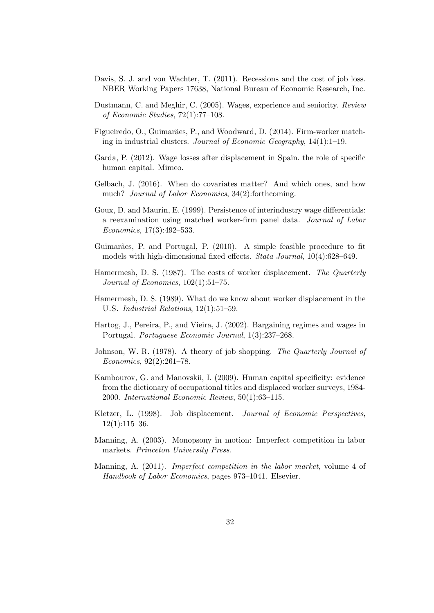- Davis, S. J. and von Wachter, T. (2011). Recessions and the cost of job loss. NBER Working Papers 17638, National Bureau of Economic Research, Inc.
- Dustmann, C. and Meghir, C. (2005). Wages, experience and seniority. Review of Economic Studies, 72(1):77–108.
- Figueiredo, O., Guimarães, P., and Woodward, D. (2014). Firm-worker matching in industrial clusters. Journal of Economic Geography, 14(1):1–19.
- Garda, P. (2012). Wage losses after displacement in Spain. the role of specific human capital. Mimeo.
- Gelbach, J. (2016). When do covariates matter? And which ones, and how much? *Journal of Labor Economics*, 34(2):forthcoming.
- Goux, D. and Maurin, E. (1999). Persistence of interindustry wage differentials: a reexamination using matched worker-firm panel data. Journal of Labor Economics, 17(3):492–533.
- Guimarães, P. and Portugal, P. (2010). A simple feasible procedure to fit models with high-dimensional fixed effects. Stata Journal, 10(4):628–649.
- Hamermesh, D. S. (1987). The costs of worker displacement. The Quarterly Journal of Economics, 102(1):51–75.
- Hamermesh, D. S. (1989). What do we know about worker displacement in the U.S. Industrial Relations, 12(1):51–59.
- Hartog, J., Pereira, P., and Vieira, J. (2002). Bargaining regimes and wages in Portugal. Portuguese Economic Journal, 1(3):237–268.
- Johnson, W. R. (1978). A theory of job shopping. The Quarterly Journal of Economics, 92(2):261–78.
- Kambourov, G. and Manovskii, I. (2009). Human capital specificity: evidence from the dictionary of occupational titles and displaced worker surveys, 1984- 2000. International Economic Review, 50(1):63–115.
- Kletzer, L. (1998). Job displacement. *Journal of Economic Perspectives*,  $12(1):115-36.$
- Manning, A. (2003). Monopsony in motion: Imperfect competition in labor markets. Princeton University Press.
- Manning, A. (2011). Imperfect competition in the labor market, volume 4 of Handbook of Labor Economics, pages 973–1041. Elsevier.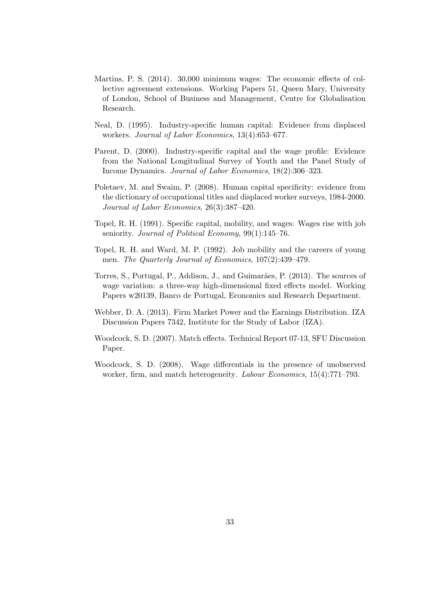- Martins, P. S. (2014). 30,000 minimum wages: The economic effects of collective agreement extensions. Working Papers 51, Queen Mary, University of London, School of Business and Management, Centre for Globalisation Research.
- Neal, D. (1995). Industry-specific human capital: Evidence from displaced workers. Journal of Labor Economics, 13(4):653–677.
- Parent, D. (2000). Industry-specific capital and the wage profile: Evidence from the National Longitudinal Survey of Youth and the Panel Study of Income Dynamics. Journal of Labor Economics, 18(2):306–323.
- Poletaev, M. and Swaim, P. (2008). Human capital specificity: evidence from the dictionary of occupational titles and displaced worker surveys, 1984-2000. Journal of Labor Economics, 26(3):387–420.
- Topel, R. H. (1991). Specific capital, mobility, and wages: Wages rise with job seniority. Journal of Political Economy, 99(1):145-76.
- Topel, R. H. and Ward, M. P. (1992). Job mobility and the careers of young men. The Quarterly Journal of Economics, 107(2):439–479.
- Torres, S., Portugal, P., Addison, J., and Guimarães, P. (2013). The sources of wage variation: a three-way high-dimensional fixed effects model. Working Papers w20139, Banco de Portugal, Economics and Research Department.
- Webber, D. A. (2013). Firm Market Power and the Earnings Distribution. IZA Discussion Papers 7342, Institute for the Study of Labor (IZA).
- Woodcock, S. D. (2007). Match effects. Technical Report 07-13, SFU Discussion Paper.
- Woodcock, S. D. (2008). Wage differentials in the presence of unobserved worker, firm, and match heterogeneity. *Labour Economics*, 15(4):771–793.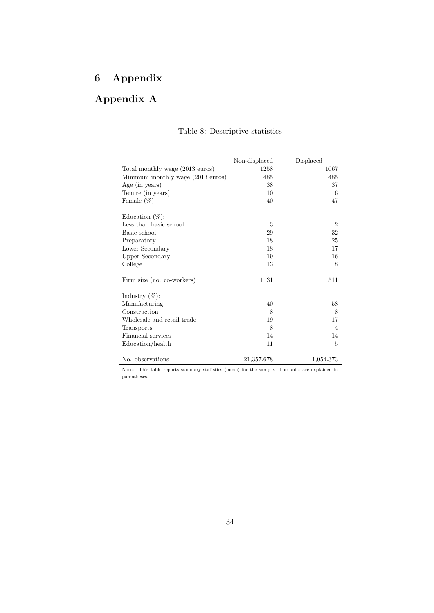## 6 Appendix

## Appendix A

|                                   | Non-displaced | Displaced      |
|-----------------------------------|---------------|----------------|
| Total monthly wage (2013 euros)   | 1258          | 1067           |
| Minimum monthly wage (2013 euros) | 485           | 485            |
| Age (in years)                    | 38            | 37             |
| Tenure (in years)                 | 10            | 6              |
| Female $(\%)$                     | 40            | 47             |
| Education $(\%)$ :                |               |                |
| Less than basic school            | 3             | $\overline{2}$ |
| Basic school                      | 29            | 32             |
| Preparatory                       | 18            | 25             |
| Lower Secondary                   | 18            | 17             |
| Upper Secondary                   | 19            | 16             |
| College                           | 13            | 8              |
| Firm size (no. co-workers)        | 1131          | 511            |
| Industry $(\%)$ :                 |               |                |
| Manufacturing                     | 40            | 58             |
| Construction                      | 8             | 8              |
| Wholesale and retail trade        | 19            | 17             |
| Transports                        | 8             | $\overline{4}$ |
| Financial services                | 14            | 14             |
| Education/health                  | 11            | 5              |
| No. observations                  | 21,357,678    | 1,054,373      |

#### Table 8: Descriptive statistics

Notes: This table reports summary statistics (mean) for the sample. The units are explained in parentheses.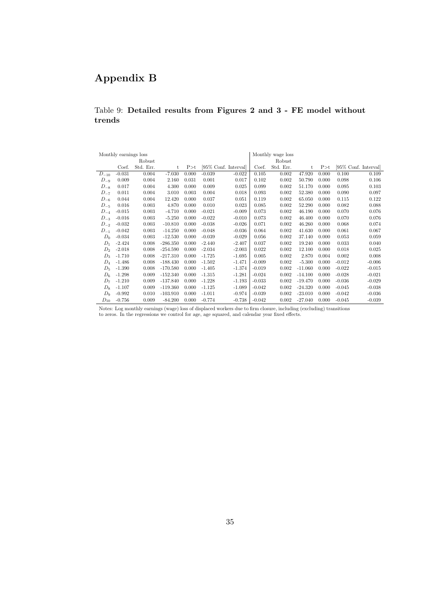## Appendix B

#### Table 9: Detailed results from Figures 2 and 3 - FE model without trends

|           | Monthly earnings loss |           |            |       |          |                      |          | Monthly wage loss |           |       |                       |          |
|-----------|-----------------------|-----------|------------|-------|----------|----------------------|----------|-------------------|-----------|-------|-----------------------|----------|
|           |                       | Robust    |            |       |          |                      |          | Robust            |           |       |                       |          |
|           | Coef.                 | Std. Err. | t          | P > t |          | [95% Conf. Interval] | Coef.    | Std. Err.         | t         | P > t | [95\% Conf. Interval] |          |
| $D_{-10}$ | $-0.031$              | 0.004     | $-7.030$   | 0.000 | $-0.039$ | $-0.022$             | 0.105    | 0.002             | 47.920    | 0.000 | 0.100                 | 0.109    |
| $D_{-9}$  | 0.009                 | 0.004     | 2.160      | 0.031 | 0.001    | 0.017                | 0.102    | 0.002             | 50.790    | 0.000 | 0.098                 | 0.106    |
| $D_{-8}$  | 0.017                 | 0.004     | 4.300      | 0.000 | 0.009    | 0.025                | 0.099    | 0.002             | 51.170    | 0.000 | 0.095                 | 0.103    |
| $D_{-7}$  | 0.011                 | 0.004     | 3.010      | 0.003 | 0.004    | 0.018                | 0.093    | 0.002             | 52.380    | 0.000 | 0.090                 | 0.097    |
| $D_{-6}$  | 0.044                 | 0.004     | 12.420     | 0.000 | 0.037    | 0.051                | 0.119    | 0.002             | 65.050    | 0.000 | 0.115                 | 0.122    |
| $D_{-5}$  | 0.016                 | 0.003     | 4.870      | 0.000 | 0.010    | 0.023                | 0.085    | 0.002             | 52.290    | 0.000 | 0.082                 | 0.088    |
| $D_{-4}$  | $-0.015$              | 0.003     | $-4.710$   | 0.000 | $-0.021$ | $-0.009$             | 0.073    | 0.002             | 46.190    | 0.000 | 0.070                 | 0.076    |
| $D_{-3}$  | $-0.016$              | 0.003     | $-5.250$   | 0.000 | $-0.022$ | $-0.010$             | 0.073    | 0.002             | 46.400    | 0.000 | 0.070                 | 0.076    |
| $D_{-2}$  | $-0.032$              | 0.003     | $-10.810$  | 0.000 | $-0.038$ | $-0.026$             | 0.071    | 0.002             | 46.260    | 0.000 | 0.068                 | 0.074    |
| $D_{-1}$  | $-0.042$              | 0.003     | $-14.250$  | 0.000 | $-0.048$ | $-0.036$             | 0.064    | 0.002             | 41.630    | 0.000 | 0.061                 | 0.067    |
| $D_0$     | $-0.034$              | 0.003     | $-12.530$  | 0.000 | $-0.039$ | $-0.029$             | 0.056    | 0.002             | 37.140    | 0.000 | 0.053                 | 0.059    |
| $D_1$     | $-2.424$              | 0.008     | $-286.350$ | 0.000 | $-2.440$ | $-2.407$             | 0.037    | 0.002             | 19.240    | 0.000 | 0.033                 | 0.040    |
| $D_2$     | $-2.018$              | 0.008     | $-254.590$ | 0.000 | $-2.034$ | $-2.003$             | 0.022    | 0.002             | 12.100    | 0.000 | 0.018                 | 0.025    |
| $D_3$     | $-1.710$              | 0.008     | $-217.310$ | 0.000 | $-1.725$ | $-1.695$             | 0.005    | 0.002             | 2.870     | 0.004 | 0.002                 | 0.008    |
| $D_4$     | $-1.486$              | 0.008     | $-188.430$ | 0.000 | $-1.502$ | $-1.471$             | $-0.009$ | 0.002             | $-5.300$  | 0.000 | $-0.012$              | $-0.006$ |
| $D_5$     | $-1.390$              | 0.008     | $-170.580$ | 0.000 | $-1.405$ | $-1.374$             | $-0.019$ | 0.002             | $-11.060$ | 0.000 | $-0.022$              | $-0.015$ |
| $D_6$     | $-1.298$              | 0.009     | $-152.340$ | 0.000 | $-1.315$ | $-1.281$             | $-0.024$ | 0.002             | $-14.100$ | 0.000 | $-0.028$              | $-0.021$ |
| $D_7$     | $-1.210$              | 0.009     | $-137.840$ | 0.000 | $-1.228$ | $-1.193$             | $-0.033$ | 0.002             | $-19.470$ | 0.000 | $-0.036$              | $-0.029$ |
| $D_8$     | $-1.107$              | 0.009     | $-119.360$ | 0.000 | $-1.125$ | $-1.089$             | $-0.042$ | 0.002             | $-24.320$ | 0.000 | $-0.045$              | $-0.038$ |
| $D_9$     | $-0.992$              | 0.010     | $-103.910$ | 0.000 | $-1.011$ | $-0.974$             | $-0.039$ | 0.002             | $-23.010$ | 0.000 | $-0.042$              | $-0.036$ |
| $D_{10}$  | $-0.756$              | 0.009     | $-84.200$  | 0.000 | $-0.774$ | $-0.738$             | $-0.042$ | 0.002             | $-27.040$ | 0.000 | $-0.045$              | $-0.039$ |

Notes: Log monthly earnings (wage) loss of displaced workers due to firm closure, including (excluding) transitions to zeros. In the regressions we control for age, age squared, and calendar year fixed effects.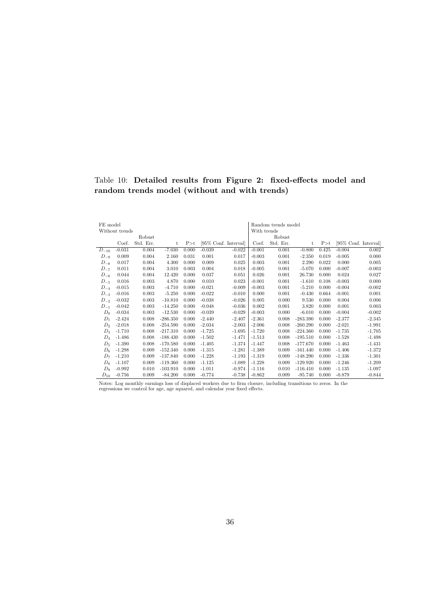#### Table 10: Detailed results from Figure 2: fixed-effects model and random trends model (without and with trends)

| FE model  |                |           |            |       |          |                      |             | Random trends model |            |       |          |                       |
|-----------|----------------|-----------|------------|-------|----------|----------------------|-------------|---------------------|------------|-------|----------|-----------------------|
|           | Without trends |           |            |       |          |                      | With trends |                     |            |       |          |                       |
|           |                | Robust    |            |       |          |                      |             | Robust              |            |       |          |                       |
|           | Coef.          | Std. Err. | t          | P > t |          | [95% Conf. Interval] | Coef.       | Std. Err.           | t          | P > t |          | [95\% Conf. Interval] |
| $D_{-10}$ | $-0.031$       | 0.004     | $-7.030$   | 0.000 | $-0.039$ | $-0.022$             | $-0.001$    | 0.001               | $-0.800$   | 0.425 | $-0.004$ | 0.002                 |
| $D_{-9}$  | 0.009          | 0.004     | 2.160      | 0.031 | 0.001    | 0.017                | $-0.003$    | 0.001               | $-2.350$   | 0.019 | $-0.005$ | 0.000                 |
| $D_{-8}$  | 0.017          | 0.004     | 4.300      | 0.000 | 0.009    | 0.025                | 0.003       | 0.001               | 2.290      | 0.022 | 0.000    | 0.005                 |
| $D_{-7}$  | 0.011          | 0.004     | 3.010      | 0.003 | 0.004    | 0.018                | $-0.005$    | 0.001               | $-5.070$   | 0.000 | $-0.007$ | $-0.003$              |
| $D_{-6}$  | 0.044          | 0.004     | 12.420     | 0.000 | 0.037    | 0.051                | 0.026       | 0.001               | 26.730     | 0.000 | 0.024    | 0.027                 |
| $D_{-5}$  | 0.016          | 0.003     | 4.870      | 0.000 | 0.010    | 0.023                | $-0.001$    | 0.001               | $-1.610$   | 0.108 | $-0.003$ | 0.000                 |
| $D_{-4}$  | $-0.015$       | 0.003     | $-4.710$   | 0.000 | $-0.021$ | $-0.009$             | $-0.003$    | 0.001               | $-5.210$   | 0.000 | $-0.004$ | $-0.002$              |
| $D_{-3}$  | $-0.016$       | 0.003     | $-5.250$   | 0.000 | $-0.022$ | $-0.010$             | 0.000       | 0.001               | $-0.430$   | 0.664 | $-0.001$ | 0.001                 |
| $D_{-2}$  | $-0.032$       | 0.003     | $-10.810$  | 0.000 | $-0.038$ | $-0.026$             | 0.005       | 0.000               | 9.530      | 0.000 | 0.004    | 0.006                 |
| $D_{-1}$  | $-0.042$       | 0.003     | $-14.250$  | 0.000 | $-0.048$ | $-0.036$             | 0.002       | 0.001               | 3.820      | 0.000 | 0.001    | 0.003                 |
| $D_0$     | $-0.034$       | 0.003     | $-12.530$  | 0.000 | $-0.039$ | $-0.029$             | $-0.003$    | 0.000               | $-6.010$   | 0.000 | $-0.004$ | $-0.002$              |
| $D_1$     | $-2.424$       | 0.008     | $-286.350$ | 0.000 | $-2.440$ | $-2.407$             | $-2.361$    | 0.008               | $-283.390$ | 0.000 | $-2.377$ | $-2.345$              |
| $D_2$     | $-2.018$       | 0.008     | $-254.590$ | 0.000 | $-2.034$ | $-2.003$             | $-2.006$    | 0.008               | $-260.290$ | 0.000 | $-2.021$ | $-1.991$              |
| $D_3$     | $-1.710$       | 0.008     | $-217.310$ | 0.000 | $-1.725$ | $-1.695$             | $-1.720$    | 0.008               | $-224.360$ | 0.000 | $-1.735$ | $-1.705$              |
| $D_4$     | $-1.486$       | 0.008     | $-188.430$ | 0.000 | $-1.502$ | $-1.471$             | $-1.513$    | 0.008               | $-195.510$ | 0.000 | $-1.528$ | $-1.498$              |
| $D_5$     | $-1.390$       | 0.008     | $-170.580$ | 0.000 | $-1.405$ | $-1.374$             | $-1.447$    | 0.008               | $-177.670$ | 0.000 | $-1.463$ | $-1.431$              |
| $D_6$     | $-1.298$       | 0.009     | $-152.340$ | 0.000 | $-1.315$ | $-1.281$             | $-1.389$    | 0.009               | $-161.440$ | 0.000 | $-1.406$ | $-1.372$              |
| $D_7$     | $-1.210$       | 0.009     | $-137.840$ | 0.000 | $-1.228$ | $-1.193$             | $-1.319$    | 0.009               | $-148.290$ | 0.000 | $-1.336$ | $-1.301$              |
| $D_8$     | $-1.107$       | 0.009     | $-119.360$ | 0.000 | $-1.125$ | $-1.089$             | $-1.228$    | 0.009               | $-129.920$ | 0.000 | $-1.246$ | $-1.209$              |
| $D_9$     | $-0.992$       | 0.010     | $-103.910$ | 0.000 | $-1.011$ | $-0.974$             | $-1.116$    | 0.010               | $-116.410$ | 0.000 | $-1.135$ | $-1.097$              |
| $D_{10}$  | $-0.756$       | 0.009     | $-84.200$  | 0.000 | $-0.774$ | $-0.738$             | $-0.862$    | 0.009               | $-95.740$  | 0.000 | $-0.879$ | $-0.844$              |

Notes: Log monthly earnings loss of displaced workers due to firm closure, including transitions to zeros. In the regressions we control for age, age squared, and calendar year fixed effects.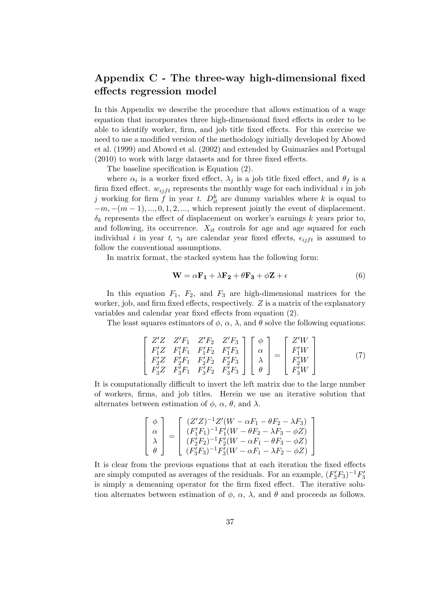### Appendix C - The three-way high-dimensional fixed effects regression model

In this Appendix we describe the procedure that allows estimation of a wage equation that incorporates three high-dimensional fixed effects in order to be able to identify worker, firm, and job title fixed effects. For this exercise we need to use a modified version of the methodology initially developed by Abowd et al. (1999) and Abowd et al. (2002) and extended by Guimarães and Portugal (2010) to work with large datasets and for three fixed effects.

The baseline specification is Equation (2).

where  $\alpha_i$  is a worker fixed effect,  $\lambda_j$  is a job title fixed effect, and  $\theta_f$  is a firm fixed effect.  $w_{iif}$  represents the monthly wage for each individual i in job j working for firm  $\hat{f}$  in year t.  $D_{it}^k$  are dummy variables where k is equal to  $-m, -(m-1), ..., 0, 1, 2, ...,$  which represent jointly the event of displacement.  $\delta_k$  represents the effect of displacement on worker's earnings k years prior to, and following, its occurrence.  $X_{it}$  controls for age and age squared for each individual i in year t,  $\gamma_t$  are calendar year fixed effects,  $\epsilon_{iif}$  is assumed to follow the conventional assumptions.

In matrix format, the stacked system has the following form:

$$
\mathbf{W} = \alpha \mathbf{F_1} + \lambda \mathbf{F_2} + \theta \mathbf{F_3} + \phi \mathbf{Z} + \epsilon
$$
 (6)

In this equation  $F_1$ ,  $F_2$ , and  $F_3$  are high-dimensional matrices for the worker, job, and firm fixed effects, respectively.  $Z$  is a matrix of the explanatory variables and calendar year fixed effects from equation (2).

The least squares estimators of  $\phi$ ,  $\alpha$ ,  $\lambda$ , and  $\theta$  solve the following equations:

$$
\begin{bmatrix}\nZ'Z & Z'F_1 & Z'F_2 & Z'F_3 \\
F'_1Z & F'_1F_1 & F'_1F_2 & F'_1F_3 \\
F'_2Z & F'_2F_1 & F'_2F_2 & F'_2F_3 \\
F'_3Z & F'_3F_1 & F'_3F_2 & F'_3F_3\n\end{bmatrix}\n\begin{bmatrix}\n\phi \\
\alpha \\
\lambda \\
\theta\n\end{bmatrix} =\n\begin{bmatrix}\nZ'W \\
F'_1W \\
F'_2W \\
F'_3W\n\end{bmatrix}
$$
\n(7)

It is computationally difficult to invert the left matrix due to the large number of workers, firms, and job titles. Herein we use an iterative solution that alternates between estimation of  $\phi$ ,  $\alpha$ ,  $\theta$ , and  $\lambda$ .

$$
\begin{bmatrix} \phi \\ \alpha \\ \lambda \\ \theta \end{bmatrix} = \begin{bmatrix} (Z'Z)^{-1}Z'(W - \alpha F_1 - \theta F_2 - \lambda F_3) \\ (F'_1F_1)^{-1}F'_1(W - \theta F_2 - \lambda F_3 - \phi Z) \\ (F'_2F_2)^{-1}F'_2(W - \alpha F_1 - \theta F_3 - \phi Z) \\ (F'_3F_3)^{-1}F'_3(W - \alpha F_1 - \lambda F_2 - \phi Z) \end{bmatrix}
$$

It is clear from the previous equations that at each iteration the fixed effects are simply computed as averages of the residuals. For an example,  $(F_3'F_3)^{-1}F_3'$ is simply a demeaning operator for the firm fixed effect. The iterative solution alternates between estimation of  $\phi$ ,  $\alpha$ ,  $\lambda$ , and  $\theta$  and proceeds as follows.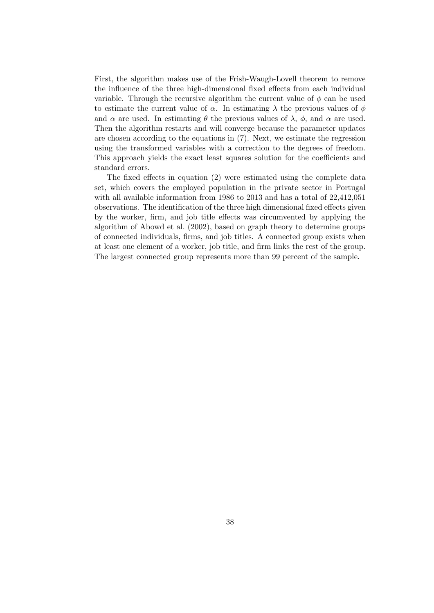First, the algorithm makes use of the Frish-Waugh-Lovell theorem to remove the influence of the three high-dimensional fixed effects from each individual variable. Through the recursive algorithm the current value of  $\phi$  can be used to estimate the current value of  $\alpha$ . In estimating  $\lambda$  the previous values of  $\phi$ and  $\alpha$  are used. In estimating  $\theta$  the previous values of  $\lambda$ ,  $\phi$ , and  $\alpha$  are used. Then the algorithm restarts and will converge because the parameter updates are chosen according to the equations in (7). Next, we estimate the regression using the transformed variables with a correction to the degrees of freedom. This approach yields the exact least squares solution for the coefficients and standard errors.

The fixed effects in equation (2) were estimated using the complete data set, which covers the employed population in the private sector in Portugal with all available information from 1986 to 2013 and has a total of 22,412,051 observations. The identification of the three high dimensional fixed effects given by the worker, firm, and job title effects was circumvented by applying the algorithm of Abowd et al. (2002), based on graph theory to determine groups of connected individuals, firms, and job titles. A connected group exists when at least one element of a worker, job title, and firm links the rest of the group. The largest connected group represents more than 99 percent of the sample.